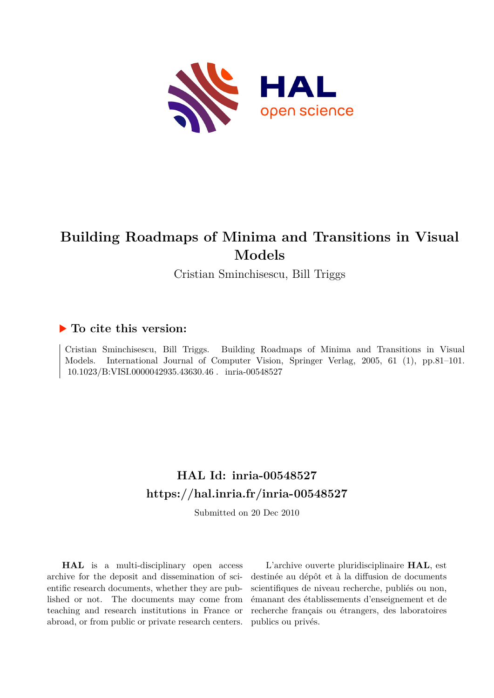

# **Building Roadmaps of Minima and Transitions in Visual Models**

Cristian Sminchisescu, Bill Triggs

# **To cite this version:**

Cristian Sminchisescu, Bill Triggs. Building Roadmaps of Minima and Transitions in Visual Models. International Journal of Computer Vision, Springer Verlag, 2005, 61 (1), pp.81–101. 10.1023/B:VISI.0000042935.43630.46 . inria-00548527

# **HAL Id: inria-00548527 <https://hal.inria.fr/inria-00548527>**

Submitted on 20 Dec 2010

**HAL** is a multi-disciplinary open access archive for the deposit and dissemination of scientific research documents, whether they are published or not. The documents may come from teaching and research institutions in France or abroad, or from public or private research centers.

L'archive ouverte pluridisciplinaire **HAL**, est destinée au dépôt et à la diffusion de documents scientifiques de niveau recherche, publiés ou non, émanant des établissements d'enseignement et de recherche français ou étrangers, des laboratoires publics ou privés.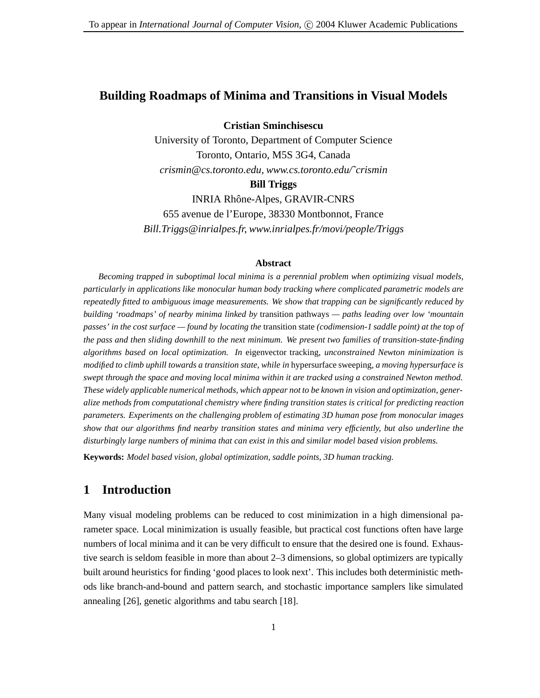### **Building Roadmaps of Minima and Transitions in Visual Models**

**Cristian Sminchisescu**

University of Toronto, Department of Computer Science Toronto, Ontario, M5S 3G4, Canada *crismin@cs.toronto.edu, www.cs.toronto.edu/˜crismin*

**Bill Triggs**

INRIA Rhˆone-Alpes, GRAVIR-CNRS 655 avenue de l'Europe, 38330 Montbonnot, France *Bill.Triggs@inrialpes.fr, www.inrialpes.fr/movi/people/Triggs*

#### **Abstract**

*Becoming trapped in suboptimal local minima is a perennial problem when optimizing visual models, particularly in applications like monocular human body tracking where complicated parametric models are repeatedly fitted to ambiguous image measurements. We show that trapping can be significantly reduced by building 'roadmaps' of nearby minima linked by* transition pathways *— paths leading over low 'mountain passes' in the cost surface — found by locating the* transition state *(codimension-1 saddle point) at the top of the pass and then sliding downhill to the next minimum. We present two families of transition-state-finding algorithms based on local optimization. In* eigenvector tracking*, unconstrained Newton minimization is modified to climb uphill towards a transition state, while in* hypersurface sweeping*, a moving hypersurface is swept through the space and moving local minima within it are tracked using a constrained Newton method. These widely applicable numerical methods, which appear not to be known in vision and optimization, generalize methods from computational chemistry where finding transition states is critical for predicting reaction parameters. Experiments on the challenging problem of estimating 3D human pose from monocular images show that our algorithms find nearby transition states and minima very efficiently, but also underline the disturbingly large numbers of minima that can exist in this and similar model based vision problems.*

**Keywords:** *Model based vision, global optimization, saddle points, 3D human tracking.*

# **1 Introduction**

Many visual modeling problems can be reduced to cost minimization in a high dimensional parameter space. Local minimization is usually feasible, but practical cost functions often have large numbers of local minima and it can be very difficult to ensure that the desired one is found. Exhaustive search is seldom feasible in more than about 2–3 dimensions, so global optimizers are typically built around heuristics for finding 'good places to look next'. This includes both deterministic methods like branch-and-bound and pattern search, and stochastic importance samplers like simulated annealing [26], genetic algorithms and tabu search [18].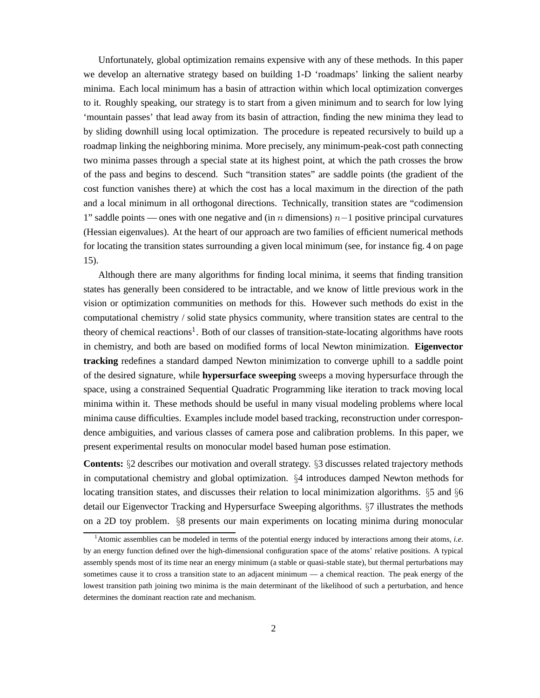Unfortunately, global optimization remains expensive with any of these methods. In this paper we develop an alternative strategy based on building 1-D 'roadmaps' linking the salient nearby minima. Each local minimum has a basin of attraction within which local optimization converges to it. Roughly speaking, our strategy is to start from a given minimum and to search for low lying 'mountain passes' that lead away from its basin of attraction, finding the new minima they lead to by sliding downhill using local optimization. The procedure is repeated recursively to build up a roadmap linking the neighboring minima. More precisely, any minimum-peak-cost path connecting two minima passes through a special state at its highest point, at which the path crosses the brow of the pass and begins to descend. Such "transition states" are saddle points (the gradient of the cost function vanishes there) at which the cost has a local maximum in the direction of the path and a local minimum in all orthogonal directions. Technically, transition states are "codimension 1" saddle points — ones with one negative and (in n dimensions)  $n-1$  positive principal curvatures (Hessian eigenvalues). At the heart of our approach are two families of efficient numerical methods for locating the transition states surrounding a given local minimum (see, for instance fig. 4 on page 15).

Although there are many algorithms for finding local minima, it seems that finding transition states has generally been considered to be intractable, and we know of little previous work in the vision or optimization communities on methods for this. However such methods do exist in the computational chemistry / solid state physics community, where transition states are central to the theory of chemical reactions<sup>1</sup>. Both of our classes of transition-state-locating algorithms have roots in chemistry, and both are based on modified forms of local Newton minimization. **Eigenvector tracking** redefines a standard damped Newton minimization to converge uphill to a saddle point of the desired signature, while **hypersurface sweeping** sweeps a moving hypersurface through the space, using a constrained Sequential Quadratic Programming like iteration to track moving local minima within it. These methods should be useful in many visual modeling problems where local minima cause difficulties. Examples include model based tracking, reconstruction under correspondence ambiguities, and various classes of camera pose and calibration problems. In this paper, we present experimental results on monocular model based human pose estimation.

**Contents:** §2 describes our motivation and overall strategy. §3 discusses related trajectory methods in computational chemistry and global optimization. §4 introduces damped Newton methods for locating transition states, and discusses their relation to local minimization algorithms. §5 and §6 detail our Eigenvector Tracking and Hypersurface Sweeping algorithms. §7 illustrates the methods on a 2D toy problem. §8 presents our main experiments on locating minima during monocular

<sup>1</sup> Atomic assemblies can be modeled in terms of the potential energy induced by interactions among their atoms, *i.e*. by an energy function defined over the high-dimensional configuration space of the atoms' relative positions. A typical assembly spends most of its time near an energy minimum (a stable or quasi-stable state), but thermal perturbations may sometimes cause it to cross a transition state to an adjacent minimum — a chemical reaction. The peak energy of the lowest transition path joining two minima is the main determinant of the likelihood of such a perturbation, and hence determines the dominant reaction rate and mechanism.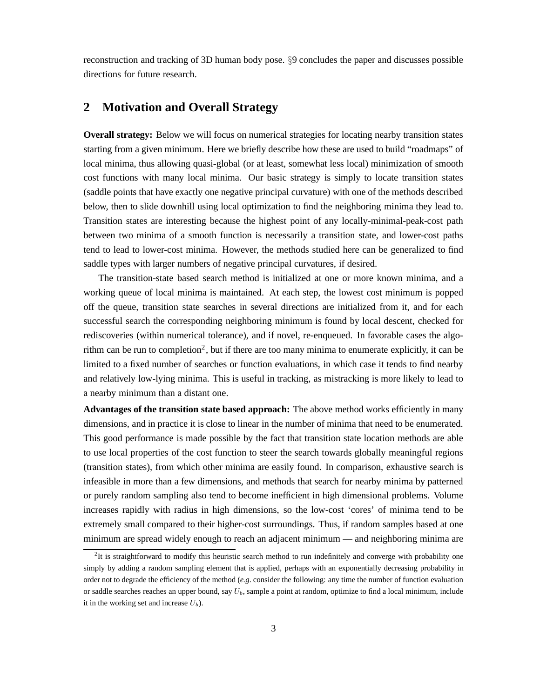reconstruction and tracking of 3D human body pose. §9 concludes the paper and discusses possible directions for future research.

# **2 Motivation and Overall Strategy**

**Overall strategy:** Below we will focus on numerical strategies for locating nearby transition states starting from a given minimum. Here we briefly describe how these are used to build "roadmaps" of local minima, thus allowing quasi-global (or at least, somewhat less local) minimization of smooth cost functions with many local minima. Our basic strategy is simply to locate transition states (saddle points that have exactly one negative principal curvature) with one of the methods described below, then to slide downhill using local optimization to find the neighboring minima they lead to. Transition states are interesting because the highest point of any locally-minimal-peak-cost path between two minima of a smooth function is necessarily a transition state, and lower-cost paths tend to lead to lower-cost minima. However, the methods studied here can be generalized to find saddle types with larger numbers of negative principal curvatures, if desired.

The transition-state based search method is initialized at one or more known minima, and a working queue of local minima is maintained. At each step, the lowest cost minimum is popped off the queue, transition state searches in several directions are initialized from it, and for each successful search the corresponding neighboring minimum is found by local descent, checked for rediscoveries (within numerical tolerance), and if novel, re-enqueued. In favorable cases the algorithm can be run to completion<sup>2</sup>, but if there are too many minima to enumerate explicitly, it can be limited to a fixed number of searches or function evaluations, in which case it tends to find nearby and relatively low-lying minima. This is useful in tracking, as mistracking is more likely to lead to a nearby minimum than a distant one.

**Advantages of the transition state based approach:** The above method works efficiently in many dimensions, and in practice it is close to linear in the number of minima that need to be enumerated. This good performance is made possible by the fact that transition state location methods are able to use local properties of the cost function to steer the search towards globally meaningful regions (transition states), from which other minima are easily found. In comparison, exhaustive search is infeasible in more than a few dimensions, and methods that search for nearby minima by patterned or purely random sampling also tend to become inefficient in high dimensional problems. Volume increases rapidly with radius in high dimensions, so the low-cost 'cores' of minima tend to be extremely small compared to their higher-cost surroundings. Thus, if random samples based at one minimum are spread widely enough to reach an adjacent minimum — and neighboring minima are

<sup>&</sup>lt;sup>2</sup>It is straightforward to modify this heuristic search method to run indefinitely and converge with probability one simply by adding a random sampling element that is applied, perhaps with an exponentially decreasing probability in order not to degrade the efficiency of the method (*e.g*. consider the following: any time the number of function evaluation or saddle searches reaches an upper bound, say  $U_b$ , sample a point at random, optimize to find a local minimum, include it in the working set and increase  $U_b$ ).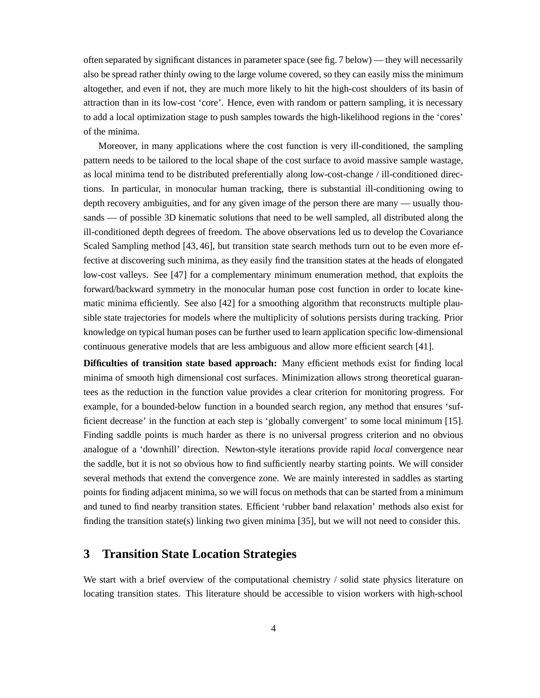often separated by significant distances in parameter space (see fig. 7 below) — they will necessarily also be spread rather thinly owing to the large volume covered, so they can easily miss the minimum altogether, and even if not, they are much more likely to hit the high-cost shoulders of its basin of attraction than in its low-cost 'core'. Hence, even with random or pattern sampling, it is necessary to add a local optimization stage to push samples towards the high-likelihood regions in the 'cores' of the minima.

Moreover, in many applications where the cost function is very ill-conditioned, the sampling pattern needs to be tailored to the local shape of the cost surface to avoid massive sample wastage, as local minima tend to be distributed preferentially along low-cost-change / ill-conditioned directions. In particular, in monocular human tracking, there is substantial ill-conditioning owing to depth recovery ambiguities, and for any given image of the person there are many — usually thousands — of possible 3D kinematic solutions that need to be well sampled, all distributed along the ill-conditioned depth degrees of freedom. The above observations led us to develop the Covariance Scaled Sampling method [43, 46], but transition state search methods turn out to be even more effective at discovering such minima, as they easily find the transition states at the heads of elongated low-cost valleys. See [47] for a complementary minimum enumeration method, that exploits the forward/backward symmetry in the monocular human pose cost function in order to locate kinematic minima efficiently. See also [42] for a smoothing algorithm that reconstructs multiple plausible state trajectories for models where the multiplicity of solutions persists during tracking. Prior knowledge on typical human poses can be further used to learn application specific low-dimensional continuous generative models that are less ambiguous and allow more efficient search [41].

**Difficulties of transition state based approach:** Many efficient methods exist for finding local minima of smooth high dimensional cost surfaces. Minimization allows strong theoretical guarantees as the reduction in the function value provides a clear criterion for monitoring progress. For example, for a bounded-below function in a bounded search region, any method that ensures 'sufficient decrease' in the function at each step is 'globally convergent' to some local minimum [15]. Finding saddle points is much harder as there is no universal progress criterion and no obvious analogue of a 'downhill' direction. Newton-style iterations provide rapid *local* convergence near the saddle, but it is not so obvious how to find sufficiently nearby starting points. We will consider several methods that extend the convergence zone. We are mainly interested in saddles as starting points for finding adjacent minima, so we will focus on methods that can be started from a minimum and tuned to find nearby transition states. Efficient 'rubber band relaxation' methods also exist for finding the transition state(s) linking two given minima [35], but we will not need to consider this.

## **3 Transition State Location Strategies**

We start with a brief overview of the computational chemistry / solid state physics literature on locating transition states. This literature should be accessible to vision workers with high-school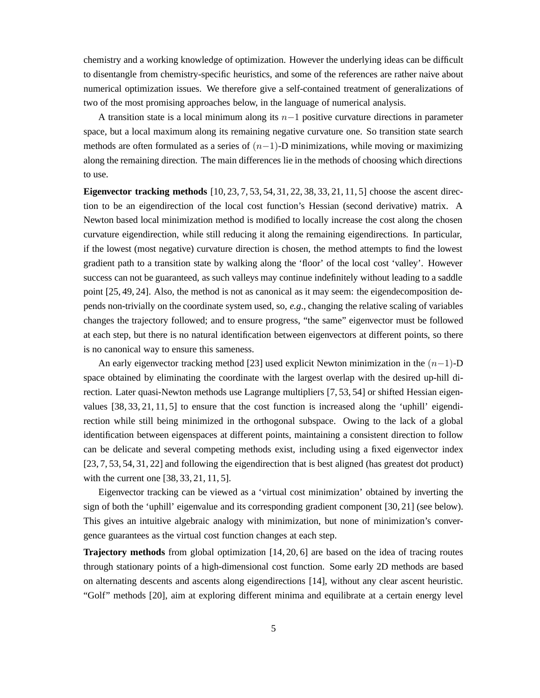chemistry and a working knowledge of optimization. However the underlying ideas can be difficult to disentangle from chemistry-specific heuristics, and some of the references are rather naive about numerical optimization issues. We therefore give a self-contained treatment of generalizations of two of the most promising approaches below, in the language of numerical analysis.

A transition state is a local minimum along its  $n-1$  positive curvature directions in parameter space, but a local maximum along its remaining negative curvature one. So transition state search methods are often formulated as a series of  $(n-1)$ -D minimizations, while moving or maximizing along the remaining direction. The main differences lie in the methods of choosing which directions to use.

**Eigenvector tracking methods** [10, 23, 7, 53, 54, 31, 22, 38, 33, 21, 11, 5] choose the ascent direction to be an eigendirection of the local cost function's Hessian (second derivative) matrix. A Newton based local minimization method is modified to locally increase the cost along the chosen curvature eigendirection, while still reducing it along the remaining eigendirections. In particular, if the lowest (most negative) curvature direction is chosen, the method attempts to find the lowest gradient path to a transition state by walking along the 'floor' of the local cost 'valley'. However success can not be guaranteed, as such valleys may continue indefinitely without leading to a saddle point [25, 49, 24]. Also, the method is not as canonical as it may seem: the eigendecomposition depends non-trivially on the coordinate system used, so, *e.g*., changing the relative scaling of variables changes the trajectory followed; and to ensure progress, "the same" eigenvector must be followed at each step, but there is no natural identification between eigenvectors at different points, so there is no canonical way to ensure this sameness.

An early eigenvector tracking method [23] used explicit Newton minimization in the  $(n-1)-D$ space obtained by eliminating the coordinate with the largest overlap with the desired up-hill direction. Later quasi-Newton methods use Lagrange multipliers [7, 53, 54] or shifted Hessian eigenvalues [38, 33, 21, 11, 5] to ensure that the cost function is increased along the 'uphill' eigendirection while still being minimized in the orthogonal subspace. Owing to the lack of a global identification between eigenspaces at different points, maintaining a consistent direction to follow can be delicate and several competing methods exist, including using a fixed eigenvector index [23, 7, 53, 54, 31, 22] and following the eigendirection that is best aligned (has greatest dot product) with the current one [38, 33, 21, 11, 5].

Eigenvector tracking can be viewed as a 'virtual cost minimization' obtained by inverting the sign of both the 'uphill' eigenvalue and its corresponding gradient component [30, 21] (see below). This gives an intuitive algebraic analogy with minimization, but none of minimization's convergence guarantees as the virtual cost function changes at each step.

**Trajectory methods** from global optimization [14, 20, 6] are based on the idea of tracing routes through stationary points of a high-dimensional cost function. Some early 2D methods are based on alternating descents and ascents along eigendirections [14], without any clear ascent heuristic. "Golf" methods [20], aim at exploring different minima and equilibrate at a certain energy level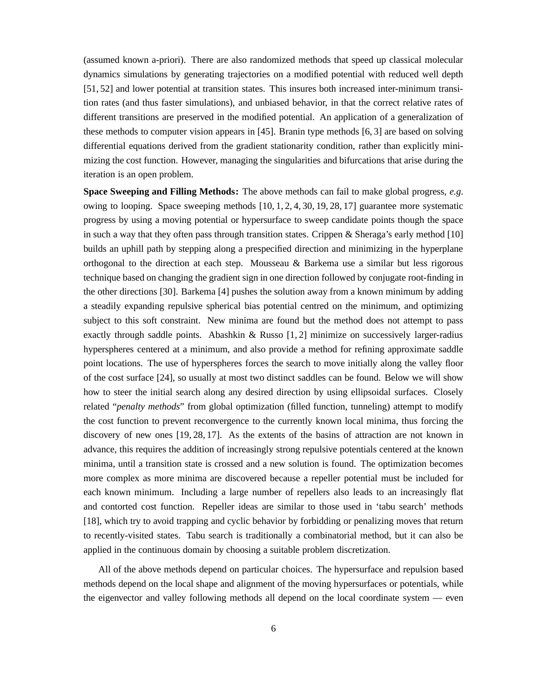(assumed known a-priori). There are also randomized methods that speed up classical molecular dynamics simulations by generating trajectories on a modified potential with reduced well depth [51, 52] and lower potential at transition states. This insures both increased inter-minimum transition rates (and thus faster simulations), and unbiased behavior, in that the correct relative rates of different transitions are preserved in the modified potential. An application of a generalization of these methods to computer vision appears in [45]. Branin type methods [6, 3] are based on solving differential equations derived from the gradient stationarity condition, rather than explicitly minimizing the cost function. However, managing the singularities and bifurcations that arise during the iteration is an open problem.

**Space Sweeping and Filling Methods:** The above methods can fail to make global progress, *e.g*. owing to looping. Space sweeping methods [10, 1, 2, 4, 30, 19, 28, 17] guarantee more systematic progress by using a moving potential or hypersurface to sweep candidate points though the space in such a way that they often pass through transition states. Crippen & Sheraga's early method [10] builds an uphill path by stepping along a prespecified direction and minimizing in the hyperplane orthogonal to the direction at each step. Mousseau & Barkema use a similar but less rigorous technique based on changing the gradient sign in one direction followed by conjugate root-finding in the other directions [30]. Barkema [4] pushes the solution away from a known minimum by adding a steadily expanding repulsive spherical bias potential centred on the minimum, and optimizing subject to this soft constraint. New minima are found but the method does not attempt to pass exactly through saddle points. Abashkin & Russo  $[1, 2]$  minimize on successively larger-radius hyperspheres centered at a minimum, and also provide a method for refining approximate saddle point locations. The use of hyperspheres forces the search to move initially along the valley floor of the cost surface [24], so usually at most two distinct saddles can be found. Below we will show how to steer the initial search along any desired direction by using ellipsoidal surfaces. Closely related "*penalty methods*" from global optimization (filled function, tunneling) attempt to modify the cost function to prevent reconvergence to the currently known local minima, thus forcing the discovery of new ones [19, 28, 17]. As the extents of the basins of attraction are not known in advance, this requires the addition of increasingly strong repulsive potentials centered at the known minima, until a transition state is crossed and a new solution is found. The optimization becomes more complex as more minima are discovered because a repeller potential must be included for each known minimum. Including a large number of repellers also leads to an increasingly flat and contorted cost function. Repeller ideas are similar to those used in 'tabu search' methods [18], which try to avoid trapping and cyclic behavior by forbidding or penalizing moves that return to recently-visited states. Tabu search is traditionally a combinatorial method, but it can also be applied in the continuous domain by choosing a suitable problem discretization.

All of the above methods depend on particular choices. The hypersurface and repulsion based methods depend on the local shape and alignment of the moving hypersurfaces or potentials, while the eigenvector and valley following methods all depend on the local coordinate system — even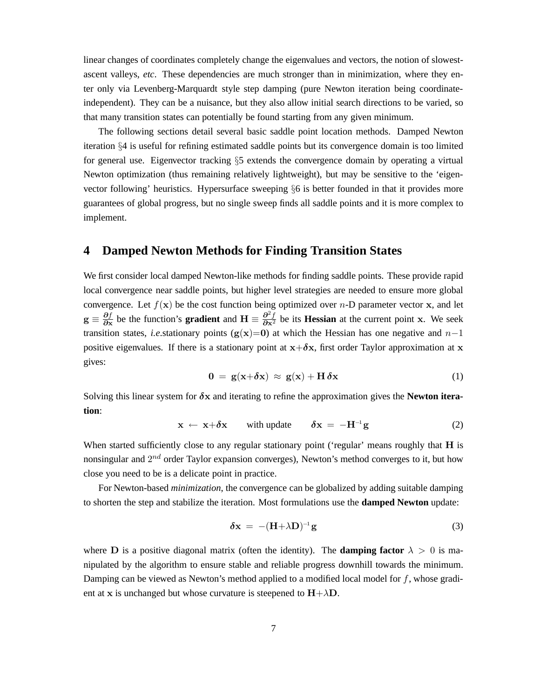linear changes of coordinates completely change the eigenvalues and vectors, the notion of slowestascent valleys, *etc*. These dependencies are much stronger than in minimization, where they enter only via Levenberg-Marquardt style step damping (pure Newton iteration being coordinateindependent). They can be a nuisance, but they also allow initial search directions to be varied, so that many transition states can potentially be found starting from any given minimum.

The following sections detail several basic saddle point location methods. Damped Newton iteration §4 is useful for refining estimated saddle points but its convergence domain is too limited for general use. Eigenvector tracking §5 extends the convergence domain by operating a virtual Newton optimization (thus remaining relatively lightweight), but may be sensitive to the 'eigenvector following' heuristics. Hypersurface sweeping §6 is better founded in that it provides more guarantees of global progress, but no single sweep finds all saddle points and it is more complex to implement.

## **4 Damped Newton Methods for Finding Transition States**

We first consider local damped Newton-like methods for finding saddle points. These provide rapid local convergence near saddle points, but higher level strategies are needed to ensure more global convergence. Let  $f(\mathbf{x})$  be the cost function being optimized over n-D parameter vector **x**, and let  $g \equiv \frac{\partial f}{\partial x}$  be the function's **gradient** and  $H \equiv \frac{\partial^2 f}{\partial x^2}$  be its **Hessian** at the current point **x**. We seek transition states, *i.e.*stationary points ( $g(x)=0$ ) at which the Hessian has one negative and  $n-1$ positive eigenvalues. If there is a stationary point at  $x + \delta x$ , first order Taylor approximation at **x** gives:

$$
0 = g(x+\delta x) \approx g(x) + H \delta x \tag{1}
$$

Solving this linear system for *<sup>δ</sup>***x** and iterating to refine the approximation gives the **Newton iteration**:

$$
\mathbf{x} \leftarrow \mathbf{x} + \delta \mathbf{x} \qquad \text{with update} \qquad \delta \mathbf{x} = -\mathbf{H}^{-1} \mathbf{g} \tag{2}
$$

When started sufficiently close to any regular stationary point ('regular' means roughly that **H** is nonsingular and  $2^{nd}$  order Taylor expansion converges), Newton's method converges to it, but how close you need to be is a delicate point in practice.

For Newton-based *minimization*, the convergence can be globalized by adding suitable damping to shorten the step and stabilize the iteration. Most formulations use the **damped Newton** update:

$$
\delta \mathbf{x} = -(\mathbf{H} + \lambda \mathbf{D})^{-1} \mathbf{g} \tag{3}
$$

where **D** is a positive diagonal matrix (often the identity). The **damping factor**  $\lambda > 0$  is manipulated by the algorithm to ensure stable and reliable progress downhill towards the minimum. Damping can be viewed as Newton's method applied to a modified local model for f, whose gradient at **x** is unchanged but whose curvature is steepened to  $H + \lambda D$ .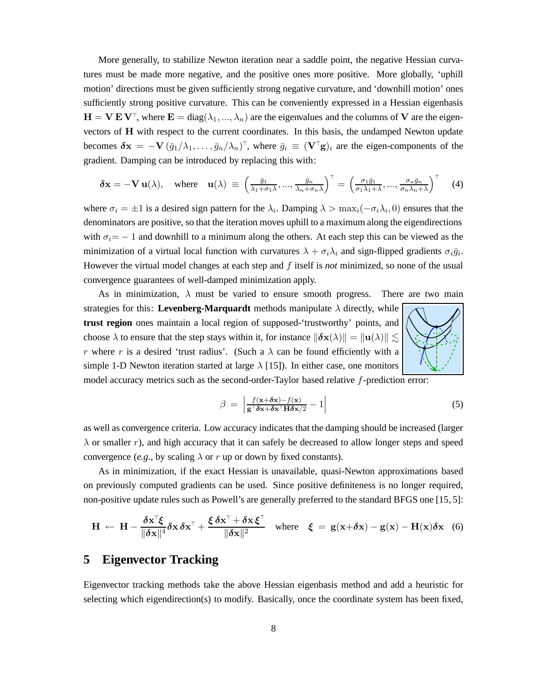More generally, to stabilize Newton iteration near a saddle point, the negative Hessian curvatures must be made more negative, and the positive ones more positive. More globally, 'uphill motion' directions must be given sufficiently strong negative curvature, and 'downhill motion' ones sufficiently strong positive curvature. This can be conveniently expressed in a Hessian eigenbasis  $\mathbf{H} = \mathbf{V} \mathbf{E} \mathbf{V}^{\top}$ , where  $\mathbf{E} = \text{diag}(\lambda_1, ..., \lambda_n)$  are the eigenvalues and the columns of **V** are the eigenvectors of **H** with respect to the current coordinates. In this basis, the undamped Newton update becomes  $\delta \mathbf{x} = -\mathbf{V} (\bar{g}_1/\lambda_1, \dots, \bar{g}_n/\lambda_n)^{\top}$ , where  $\bar{g}_i \equiv (\mathbf{V}^{\top} \mathbf{g})_i$  are the eigen-components of the gradient. Damping can be introduced by replacing this with:

$$
\delta \mathbf{x} = -\mathbf{V} \mathbf{u}(\lambda), \quad \text{where} \quad \mathbf{u}(\lambda) \equiv \left(\frac{\bar{g}_1}{\lambda_1 + \sigma_1 \lambda}, \dots, \frac{\bar{g}_n}{\lambda_n + \sigma_n \lambda}\right)^\top = \left(\frac{\sigma_1 \bar{g}_1}{\sigma_1 \lambda_1 + \lambda}, \dots, \frac{\sigma_n \bar{g}_n}{\sigma_n \lambda_n + \lambda}\right)^\top \tag{4}
$$

where  $\sigma_i = \pm 1$  is a desired sign pattern for the  $\lambda_i$ . Damping  $\lambda > \max_i(-\sigma_i\lambda_i, 0)$  ensures that the denominators are positive, so that the iteration moves uphill to a maximum along the eigendirections with  $\sigma_i = -1$  and downhill to a minimum along the others. At each step this can be viewed as the minimization of a virtual local function with curvatures  $\lambda + \sigma_i \lambda_i$  and sign-flipped gradients  $\sigma_i \bar{g}_i$ . However the virtual model changes at each step and f itself is *not* minimized, so none of the usual convergence guarantees of well-damped minimization apply.

As in minimization,  $\lambda$  must be varied to ensure smooth progress. There are two main strategies for this: **Levenberg-Marquardt** methods manipulate  $\lambda$  directly, while **trust region** ones maintain a local region of supposed-'trustworthy' points, and choose  $\lambda$  to ensure that the step stays within it, for instance  $\|\boldsymbol{\delta} \mathbf{x}(\lambda)\| = \|\mathbf{u}(\lambda)\| \lesssim$ r where r is a desired 'trust radius'. (Such a  $\lambda$  can be found efficiently with a simple 1-D Newton iteration started at large  $\lambda$  [15]). In either case, one monitors



model accuracy metrics such as the second-order-Taylor based relative  $f$ -prediction error:

$$
\beta = \left| \frac{f(\mathbf{x} + \delta \mathbf{x}) - f(\mathbf{x})}{\mathbf{g}^{\top} \delta \mathbf{x} + \delta \mathbf{x}^{\top} \mathbf{H} \delta \mathbf{x}/2} - 1 \right| \tag{5}
$$

as well as convergence criteria. Low accuracy indicates that the damping should be increased (larger  $\lambda$  or smaller r), and high accuracy that it can safely be decreased to allow longer steps and speed convergence (*e.g.*, by scaling  $\lambda$  or r up or down by fixed constants).

As in minimization, if the exact Hessian is unavailable, quasi-Newton approximations based on previously computed gradients can be used. Since positive definiteness is no longer required, non-positive update rules such as Powell's are generally preferred to the standard BFGS one [15, 5]:

$$
\mathbf{H} \leftarrow \mathbf{H} - \frac{\delta \mathbf{x}^{\top} \boldsymbol{\xi}}{\|\delta \mathbf{x}\|^4} \delta \mathbf{x} \, \delta \mathbf{x}^{\top} + \frac{\boldsymbol{\xi} \, \delta \mathbf{x}^{\top} + \delta \mathbf{x} \, \boldsymbol{\xi}^{\top}}{\|\delta \mathbf{x}\|^2} \quad \text{where} \quad \boldsymbol{\xi} \ = \ \mathbf{g}(\mathbf{x} + \delta \mathbf{x}) - \mathbf{g}(\mathbf{x}) - \mathbf{H}(\mathbf{x}) \delta \mathbf{x} \quad (6)
$$

## **5 Eigenvector Tracking**

Eigenvector tracking methods take the above Hessian eigenbasis method and add a heuristic for selecting which eigendirection(s) to modify. Basically, once the coordinate system has been fixed,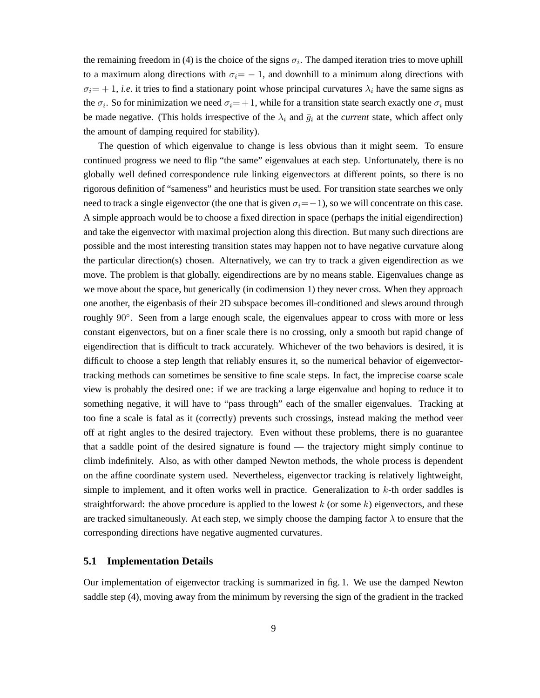the remaining freedom in (4) is the choice of the signs  $\sigma_i$ . The damped iteration tries to move uphill to a maximum along directions with  $\sigma_i = -1$ , and downhill to a minimum along directions with  $\sigma_i=+1$ , *i.e.* it tries to find a stationary point whose principal curvatures  $\lambda_i$  have the same signs as the  $\sigma_i$ . So for minimization we need  $\sigma_i=+1$ , while for a transition state search exactly one  $\sigma_i$  must be made negative. (This holds irrespective of the  $\lambda_i$  and  $\bar{g}_i$  at the *current* state, which affect only the amount of damping required for stability).

The question of which eigenvalue to change is less obvious than it might seem. To ensure continued progress we need to flip "the same" eigenvalues at each step. Unfortunately, there is no globally well defined correspondence rule linking eigenvectors at different points, so there is no rigorous definition of "sameness" and heuristics must be used. For transition state searches we only need to track a single eigenvector (the one that is given  $\sigma_i=-1$ ), so we will concentrate on this case. A simple approach would be to choose a fixed direction in space (perhaps the initial eigendirection) and take the eigenvector with maximal projection along this direction. But many such directions are possible and the most interesting transition states may happen not to have negative curvature along the particular direction(s) chosen. Alternatively, we can try to track a given eigendirection as we move. The problem is that globally, eigendirections are by no means stable. Eigenvalues change as we move about the space, but generically (in codimension 1) they never cross. When they approach one another, the eigenbasis of their 2D subspace becomes ill-conditioned and slews around through roughly 90<sup>°</sup>. Seen from a large enough scale, the eigenvalues appear to cross with more or less constant eigenvectors, but on a finer scale there is no crossing, only a smooth but rapid change of eigendirection that is difficult to track accurately. Whichever of the two behaviors is desired, it is difficult to choose a step length that reliably ensures it, so the numerical behavior of eigenvectortracking methods can sometimes be sensitive to fine scale steps. In fact, the imprecise coarse scale view is probably the desired one: if we are tracking a large eigenvalue and hoping to reduce it to something negative, it will have to "pass through" each of the smaller eigenvalues. Tracking at too fine a scale is fatal as it (correctly) prevents such crossings, instead making the method veer off at right angles to the desired trajectory. Even without these problems, there is no guarantee that a saddle point of the desired signature is found — the trajectory might simply continue to climb indefinitely. Also, as with other damped Newton methods, the whole process is dependent on the affine coordinate system used. Nevertheless, eigenvector tracking is relatively lightweight, simple to implement, and it often works well in practice. Generalization to  $k$ -th order saddles is straightforward: the above procedure is applied to the lowest  $k$  (or some  $k$ ) eigenvectors, and these are tracked simultaneously. At each step, we simply choose the damping factor  $\lambda$  to ensure that the corresponding directions have negative augmented curvatures.

#### **5.1 Implementation Details**

Our implementation of eigenvector tracking is summarized in fig. 1. We use the damped Newton saddle step (4), moving away from the minimum by reversing the sign of the gradient in the tracked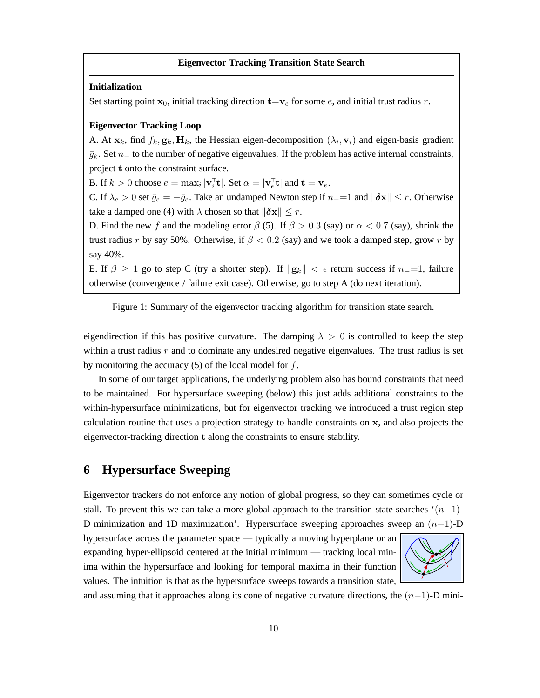#### **Eigenvector Tracking Transition State Search**

#### **Initialization**

Set starting point  $\mathbf{x}_0$ , initial tracking direction  $\mathbf{t} = \mathbf{v}_e$  for some e, and initial trust radius r.

#### **Eigenvector Tracking Loop**

A. At  $\mathbf{x}_k$ , find  $f_k, \mathbf{g}_k, \mathbf{H}_k$ , the Hessian eigen-decomposition  $(\lambda_i, \mathbf{v}_i)$  and eigen-basis gradient  $\bar{g}_k$ . Set  $n_$  to the number of negative eigenvalues. If the problem has active internal constraints, project **t** onto the constraint surface.

B. If  $k > 0$  choose  $e = \max_i |\mathbf{v}_i^{\top} \mathbf{t}|$ . Set  $\alpha = |\mathbf{v}_e^{\top} \mathbf{t}|$  and  $\mathbf{t} = \mathbf{v}_e$ .

C. If  $\lambda_e > 0$  set  $\bar{g}_e = -\bar{g}_e$ . Take an undamped Newton step if  $n_0 = 1$  and  $\|\delta \mathbf{x}\| \leq r$ . Otherwise take a damped one (4) with  $\lambda$  chosen so that  $\|\delta \mathbf{x}\| \leq r$ .

D. Find the new f and the modeling error  $\beta$  (5). If  $\beta > 0.3$  (say) or  $\alpha < 0.7$  (say), shrink the trust radius r by say 50%. Otherwise, if  $\beta$  < 0.2 (say) and we took a damped step, grow r by say 40%.

E. If  $\beta \ge 1$  go to step C (try a shorter step). If  $\|\mathbf{g}_k\| < \epsilon$  return success if  $n_0 = 1$ , failure otherwise (convergence / failure exit case). Otherwise, go to step A (do next iteration).

Figure 1: Summary of the eigenvector tracking algorithm for transition state search.

eigendirection if this has positive curvature. The damping  $\lambda > 0$  is controlled to keep the step within a trust radius  $r$  and to dominate any undesired negative eigenvalues. The trust radius is set by monitoring the accuracy  $(5)$  of the local model for f.

In some of our target applications, the underlying problem also has bound constraints that need to be maintained. For hypersurface sweeping (below) this just adds additional constraints to the within-hypersurface minimizations, but for eigenvector tracking we introduced a trust region step calculation routine that uses a projection strategy to handle constraints on **x**, and also projects the eigenvector-tracking direction **t** along the constraints to ensure stability.

## **6 Hypersurface Sweeping**

Eigenvector trackers do not enforce any notion of global progress, so they can sometimes cycle or stall. To prevent this we can take a more global approach to the transition state searches  $\lceil (n-1) \rceil$ -D minimization and 1D maximization'. Hypersurface sweeping approaches sweep an  $(n-1)-D$ 

hypersurface across the parameter space — typically a moving hyperplane or an expanding hyper-ellipsoid centered at the initial minimum — tracking local minima within the hypersurface and looking for temporal maxima in their function values. The intuition is that as the hypersurface sweeps towards a transition state,



and assuming that it approaches along its cone of negative curvature directions, the  $(n-1)$ -D mini-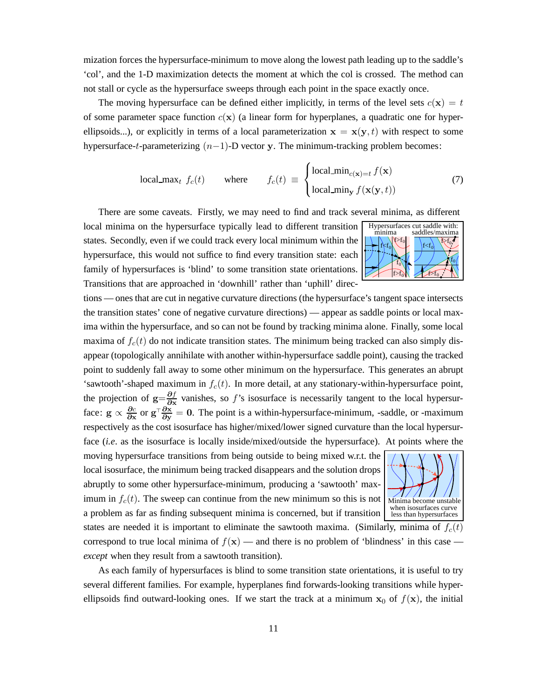mization forces the hypersurface-minimum to move along the lowest path leading up to the saddle's 'col', and the 1-D maximization detects the moment at which the col is crossed. The method can not stall or cycle as the hypersurface sweeps through each point in the space exactly once.

The moving hypersurface can be defined either implicitly, in terms of the level sets  $c(\mathbf{x}) = t$ of some parameter space function  $c(\mathbf{x})$  (a linear form for hyperplanes, a quadratic one for hyperellipsoids...), or explicitly in terms of a local parameterization  $\mathbf{x} = \mathbf{x}(\mathbf{y}, t)$  with respect to some hypersurface-t-parameterizing (n−1)-D vector **y**. The minimum-tracking problem becomes:

> local\_max<sub>t</sub>  $f_c(t)$  where  $f_c(t) \equiv$  $\int$  $\int$  $\mathcal{L}$  $\text{local\_min}_{c(\mathbf{x})=t} f(\mathbf{x})$ local min<sub>y</sub>  $f(\mathbf{x}(\mathbf{y}, t))$ (7)

There are some caveats. Firstly, we may need to find and track several minima, as different

local minima on the hypersurface typically lead to different transition states. Secondly, even if we could track every local minimum within the hypersurface, this would not suffice to find every transition state: each family of hypersurfaces is 'blind' to some transition state orientations. Transitions that are approached in 'downhill' rather than 'uphill' direc-



tions — ones that are cut in negative curvature directions (the hypersurface's tangent space intersects the transition states' cone of negative curvature directions) — appear as saddle points or local maxima within the hypersurface, and so can not be found by tracking minima alone. Finally, some local maxima of  $f_c(t)$  do not indicate transition states. The minimum being tracked can also simply disappear (topologically annihilate with another within-hypersurface saddle point), causing the tracked point to suddenly fall away to some other minimum on the hypersurface. This generates an abrupt 'sawtooth'-shaped maximum in  $f_c(t)$ . In more detail, at any stationary-within-hypersurface point, the projection of **g**= $\frac{\partial f}{\partial x}$  vanishes, so f's isosurface is necessarily tangent to the local hypersur-<br>face  $g \propto \frac{\partial c}{\partial x}$  or  $\pi^{\pm} \frac{\partial x}{\partial x}$  . On The point is a within hypersurface minimum, and dle or maximum face:  $g \propto \frac{\partial c}{\partial x}$  or  $g^{\top} \frac{\partial x}{\partial y} = 0$ . The point is a within-hypersurface-minimum, -saddle, or -maximum respectively as the cost isosurface has higher/mixed/lower signed curvature than the local hypersurface (*i.e*. as the isosurface is locally inside/mixed/outside the hypersurface). At points where the

moving hypersurface transitions from being outside to being mixed w.r.t. the local isosurface, the minimum being tracked disappears and the solution drops abruptly to some other hypersurface-minimum, producing a 'sawtooth' maximum in  $f_c(t)$ . The sweep can continue from the new minimum so this is not a problem as far as finding subsequent minima is concerned, but if transition



states are needed it is important to eliminate the sawtooth maxima. (Similarly, minima of  $f_c(t)$ ) correspond to true local minima of  $f(\mathbf{x})$  — and there is no problem of 'blindness' in this case *except* when they result from a sawtooth transition).

As each family of hypersurfaces is blind to some transition state orientations, it is useful to try several different families. For example, hyperplanes find forwards-looking transitions while hyperellipsoids find outward-looking ones. If we start the track at a minimum  $x_0$  of  $f(x)$ , the initial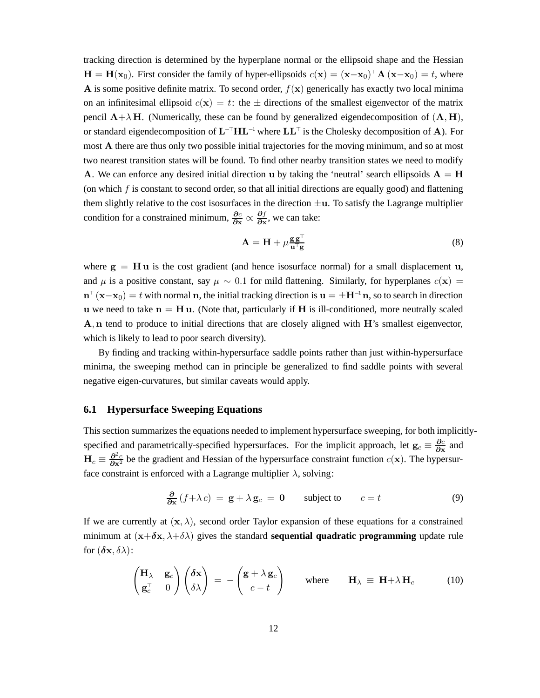tracking direction is determined by the hyperplane normal or the ellipsoid shape and the Hessian **H** = **H**(**x**<sub>0</sub>). First consider the family of hyper-ellipsoids  $c(\mathbf{x}) = (\mathbf{x}-\mathbf{x}_0)^\top \mathbf{A} (\mathbf{x}-\mathbf{x}_0) = t$ , where **A** is some positive definite matrix. To second order,  $f(\mathbf{x})$  generically has exactly two local minima on an infinitesimal ellipsoid  $c(\mathbf{x}) = t$ : the  $\pm$  directions of the smallest eigenvector of the matrix pencil  $\mathbf{A} + \lambda \mathbf{H}$ . (Numerically, these can be found by generalized eigendecomposition of  $(\mathbf{A}, \mathbf{H})$ , or standard eigendecomposition of  $\mathbf{L}^{-\mathsf{T}}\mathbf{H}\mathbf{L}^{-1}$  where  $\mathbf{L}\mathbf{L}^{\mathsf{T}}$  is the Cholesky decomposition of **A**). For most **A** there are thus only two possible initial trajectories for the moving minimum, and so at most two nearest transition states will be found. To find other nearby transition states we need to modify **A**. We can enforce any desired initial direction **u** by taking the 'neutral' search ellipsoids  $\mathbf{A} = \mathbf{H}$ (on which f is constant to second order, so that all initial directions are equally good) and flattening them slightly relative to the cost isosurfaces in the direction  $\pm \mathbf{u}$ . To satisfy the Lagrange multiplier condition for a constrained minimum,  $\frac{\partial c}{\partial x} \propto \frac{\partial f}{\partial x}$ , we can take:

$$
\mathbf{A} = \mathbf{H} + \mu \frac{\mathbf{g} \mathbf{g}^{\top}}{\mathbf{u}^{\top} \mathbf{g}}
$$
 (8)

where  $g = H u$  is the cost gradient (and hence isosurface normal) for a small displacement  $u$ , and  $\mu$  is a positive constant, say  $\mu \sim 0.1$  for mild flattening. Similarly, for hyperplanes  $c(\mathbf{x}) =$  $\mathbf{n}^{\top}(\mathbf{x}-\mathbf{x}_0) = t$  with normal **n**, the initial tracking direction is  $\mathbf{u} = \pm \mathbf{H}^{-1}\mathbf{n}$ , so to search in direction **u** we need to take  $n = H$  **u**. (Note that, particularly if  $H$  is ill-conditioned, more neutrally scaled **A**, **n** tend to produce to initial directions that are closely aligned with **H**'s smallest eigenvector, which is likely to lead to poor search diversity).

By finding and tracking within-hypersurface saddle points rather than just within-hypersurface minima, the sweeping method can in principle be generalized to find saddle points with several negative eigen-curvatures, but similar caveats would apply.

#### **6.1 Hypersurface Sweeping Equations**

This section summarizes the equations needed to implement hypersurface sweeping, for both implicitlyspecified and parametrically-specified hypersurfaces. For the implicit approach, let  $\mathbf{g}_c \equiv \frac{\partial c}{\partial x}$  and  $\mathbf{H} = \frac{\partial^2 c}{\partial x}$  be the gradient and Hassian of the hypersurface approaching function  $c(x)$ . The hypersur  $H_c \equiv \frac{\partial^2 c}{\partial x^2}$  be the gradient and Hessian of the hypersurface constraint function  $c(\mathbf{x})$ . The hypersurface constraint is enforced with a Lagrange multiplier. Lagrange face constraint is enforced with a Lagrange multiplier  $\lambda$ , solving:

$$
\frac{\partial}{\partial x}(f+\lambda c) = \mathbf{g} + \lambda \mathbf{g}_c = \mathbf{0} \qquad \text{subject to} \qquad c = t \tag{9}
$$

If we are currently at  $(x, \lambda)$ , second order Taylor expansion of these equations for a constrained minimum at  $(x+\delta x, \lambda+\delta \lambda)$  gives the standard **sequential quadratic programming** update rule for  $(\delta \mathbf{x}, \delta \lambda)$ :

$$
\begin{pmatrix} \mathbf{H}_{\lambda} & \mathbf{g}_{c} \\ \mathbf{g}_{c}^{\top} & 0 \end{pmatrix} \begin{pmatrix} \delta \mathbf{x} \\ \delta \lambda \end{pmatrix} = - \begin{pmatrix} \mathbf{g} + \lambda \mathbf{g}_{c} \\ c - t \end{pmatrix} \quad \text{where} \quad \mathbf{H}_{\lambda} \equiv \mathbf{H} + \lambda \mathbf{H}_{c} \quad (10)
$$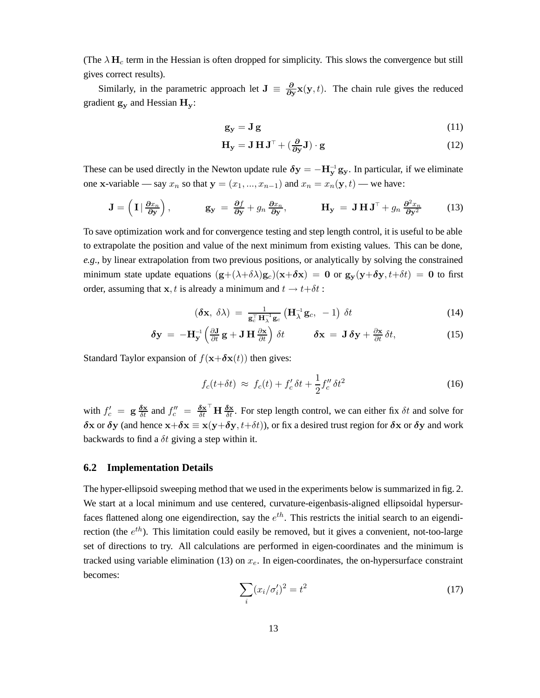(The  $\lambda$  **H**<sub>c</sub> term in the Hessian is often dropped for simplicity. This slows the convergence but still gives correct results).

Similarly, in the parametric approach let  $J = \frac{\partial}{\partial y}x(y, t)$ . The chain rule gives the reduced gradient **<sup>g</sup>y** and Hessian **<sup>H</sup>y**:

$$
\mathbf{g}_{\mathbf{y}} = \mathbf{J} \, \mathbf{g} \tag{11}
$$

$$
\mathbf{H}_{\mathbf{y}} = \mathbf{J} \mathbf{H} \mathbf{J}^{\top} + \left(\frac{\partial}{\partial \mathbf{y}} \mathbf{J}\right) \cdot \mathbf{g}
$$
 (12)

These can be used directly in the Newton update rule  $\delta y = -H_y^{-1}g_y$ . In particular, if we eliminate one **x**-variable — say  $x_n$  so that  $\mathbf{y} = (x_1, ..., x_{n-1})$  and  $x_n = x_n(\mathbf{y}, t)$  — we have:

$$
\mathbf{J} = \left( \mathbf{I} \, | \, \frac{\partial x_n}{\partial y} \right), \qquad \mathbf{g}_\mathbf{y} = \frac{\partial f}{\partial y} + g_n \, \frac{\partial x_n}{\partial y}, \qquad \mathbf{H}_\mathbf{y} = \mathbf{J} \, \mathbf{H} \, \mathbf{J}^\top + g_n \, \frac{\partial^2 x_n}{\partial y^2} \qquad (13)
$$

To save optimization work and for convergence testing and step length control, it is useful to be able to extrapolate the position and value of the next minimum from existing values. This can be done, *e.g*., by linear extrapolation from two previous positions, or analytically by solving the constrained minimum state update equations  $(g+(\lambda+\delta\lambda)g_c)(x+\delta x) = 0$  or  $g_y(y+\delta y, t+\delta t) = 0$  to first order, assuming that **x**, t is already a minimum and  $t \rightarrow t + \delta t$ :

$$
(\boldsymbol{\delta} \mathbf{x}, \ \boldsymbol{\delta} \lambda) \ = \ \frac{1}{\mathbf{g}_c^{\top} \mathbf{H}_{\lambda}^{-1} \mathbf{g}_c} \left( \mathbf{H}_{\lambda}^{-1} \mathbf{g}_c, \ -1 \right) \ \boldsymbol{\delta} t \tag{14}
$$

$$
\delta \mathbf{y} = -\mathbf{H}_{\mathbf{y}}^{-1} \left( \frac{\partial \mathbf{J}}{\partial t} \mathbf{g} + \mathbf{J} \mathbf{H} \frac{\partial \mathbf{x}}{\partial t} \right) \delta t \qquad \delta \mathbf{x} = \mathbf{J} \, \delta \mathbf{y} + \frac{\partial \mathbf{x}}{\partial t} \, \delta t, \tag{15}
$$

Standard Taylor expansion of  $f(\mathbf{x}+\boldsymbol{\delta}\mathbf{x}(t))$  then gives:

$$
f_c(t+\delta t) \approx f_c(t) + f'_c \,\delta t + \frac{1}{2} f''_c \,\delta t^2 \tag{16}
$$

with  $f_c' = g \frac{\delta x}{\delta t}$  and  $f_c'' = \frac{\delta x}{\delta t} \cdot H \frac{\delta x}{\delta t}$ . For step length control, we can either fix  $\delta t$  and solve for *<sup>δ</sup>***x** or *<sup>δ</sup>***y** (and hence **x**+*δ***x** <sup>≡</sup> **x**(**y**+*δ***y**, t+δt)), or fix a desired trust region for *<sup>δ</sup>***x** or *<sup>δ</sup>***y** and work backwards to find a  $\delta t$  giving a step within it.

#### **6.2 Implementation Details**

The hyper-ellipsoid sweeping method that we used in the experiments below is summarized in fig. 2. We start at a local minimum and use centered, curvature-eigenbasis-aligned ellipsoidal hypersurfaces flattened along one eigendirection, say the  $e^{th}$ . This restricts the initial search to an eigendirection (the  $e^{th}$ ). This limitation could easily be removed, but it gives a convenient, not-too-large set of directions to try. All calculations are performed in eigen-coordinates and the minimum is tracked using variable elimination (13) on  $x_e$ . In eigen-coordinates, the on-hypersurface constraint becomes:

$$
\sum_{i} (x_i/\sigma'_i)^2 = t^2 \tag{17}
$$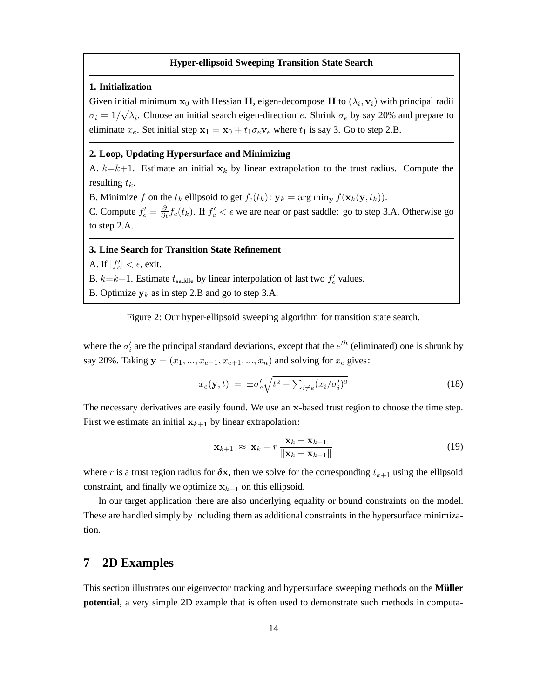#### **Hyper-ellipsoid Sweeping Transition State Search**

#### **1. Initialization**

Given initial minimum  $\mathbf{x}_0$  with Hessian **H**, eigen-decompose **H** to  $(\lambda_i, \mathbf{v}_i)$  with principal radii  $\sigma_i = 1/$ √ $\overline{\lambda_i}$ . Choose an initial search eigen-direction e. Shrink  $\sigma_e$  by say 20% and prepare to eliminate  $x_e$ . Set initial step  $\mathbf{x}_1 = \mathbf{x}_0 + t_1 \sigma_e \mathbf{v}_e$  where  $t_1$  is say 3. Go to step 2.B.

#### **2. Loop, Updating Hypersurface and Minimizing**

A.  $k=k+1$ . Estimate an initial  $x_k$  by linear extrapolation to the trust radius. Compute the resulting  $t_k$ .

B. Minimize f on the  $t_k$  ellipsoid to get  $f_c(t_k)$ :  $\mathbf{y}_k = \arg \min_{\mathbf{y}} f(\mathbf{x}_k(\mathbf{y}, t_k)).$ 

C. Compute  $f_c' = \frac{\partial}{\partial t} f_c(t_k)$ . If  $f_c' < \epsilon$  we are near or past saddle: go to step 3.A. Otherwise go to step 2.A.

#### **3. Line Search for Transition State Refinement**

- A. If  $|f'_c| < \epsilon$ , exit.
- B.  $k=k+1$ . Estimate  $t_{saddle}$  by linear interpolation of last two  $f'_c$  values.
- B. Optimize  $y_k$  as in step 2.B and go to step 3.A.

Figure 2: Our hyper-ellipsoid sweeping algorithm for transition state search.

where the  $\sigma'_{i}$  are the principal standard deviations, except that the  $e^{th}$  (eliminated) one is shrunk by say 20%. Taking  $y = (x_1, ..., x_{e-1}, x_{e+1}, ..., x_n)$  and solving for  $x_e$  gives:

$$
x_e(\mathbf{y},t) = \pm \sigma'_e \sqrt{t^2 - \sum_{i \neq e} (x_i/\sigma'_i)^2}
$$
 (18)

The necessary derivatives are easily found. We use an **x**-based trust region to choose the time step. First we estimate an initial  $x_{k+1}$  by linear extrapolation:

$$
\mathbf{x}_{k+1} \approx \mathbf{x}_k + r \frac{\mathbf{x}_k - \mathbf{x}_{k-1}}{\|\mathbf{x}_k - \mathbf{x}_{k-1}\|}
$$
(19)

where r is a trust region radius for  $\delta x$ , then we solve for the corresponding  $t_{k+1}$  using the ellipsoid constraint, and finally we optimize  $x_{k+1}$  on this ellipsoid.

In our target application there are also underlying equality or bound constraints on the model. These are handled simply by including them as additional constraints in the hypersurface minimization.

# **7 2D Examples**

This section illustrates our eigenvector tracking and hypersurface sweeping methods on the **Muller ¨ potential**, a very simple 2D example that is often used to demonstrate such methods in computa-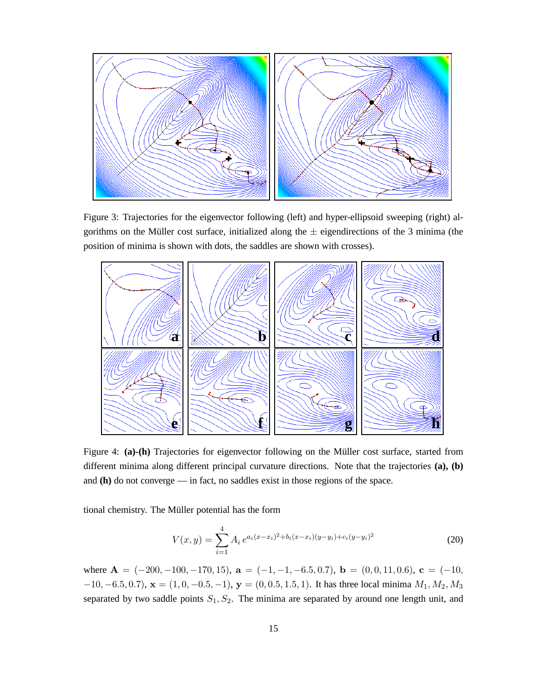

Figure 3: Trajectories for the eigenvector following (left) and hyper-ellipsoid sweeping (right) algorithms on the Müller cost surface, initialized along the  $\pm$  eigendirections of the 3 minima (the position of minima is shown with dots, the saddles are shown with crosses).



Figure 4: **(a)-(h)** Trajectories for eigenvector following on the Müller cost surface, started from different minima along different principal curvature directions. Note that the trajectories **(a), (b)** and **(h)** do not converge — in fact, no saddles exist in those regions of the space.

tional chemistry. The Müller potential has the form

$$
V(x,y) = \sum_{i=1}^{4} A_i e^{a_i(x-x_i)^2 + b_i(x-x_i)(y-y_i) + c_i(y-y_i)^2}
$$
 (20)

where  $A = (-200, -100, -170, 15)$ ,  $a = (-1, -1, -6.5, 0.7)$ ,  $b = (0, 0, 11, 0.6)$ ,  $c = (-10,$  $-10, -6.5, 0.7$ ,  $\mathbf{x} = (1, 0, -0.5, -1)$ ,  $\mathbf{y} = (0, 0.5, 1.5, 1)$ . It has three local minima  $M_1, M_2, M_3$ separated by two saddle points  $S_1, S_2$ . The minima are separated by around one length unit, and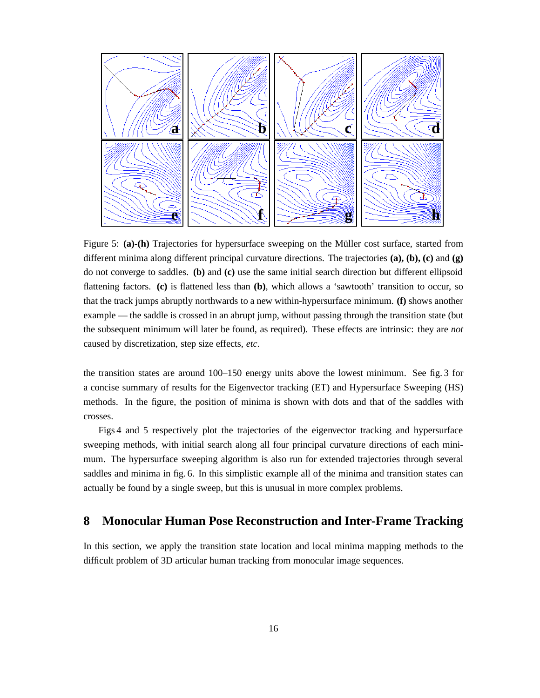

Figure 5: **(a)-(h)** Trajectories for hypersurface sweeping on the Müller cost surface, started from different minima along different principal curvature directions. The trajectories **(a), (b), (c)** and **(g)** do not converge to saddles. **(b)** and **(c)** use the same initial search direction but different ellipsoid flattening factors. **(c)** is flattened less than **(b)**, which allows a 'sawtooth' transition to occur, so that the track jumps abruptly northwards to a new within-hypersurface minimum. **(f)** shows another example — the saddle is crossed in an abrupt jump, without passing through the transition state (but the subsequent minimum will later be found, as required). These effects are intrinsic: they are *not* caused by discretization, step size effects, *etc*.

the transition states are around 100–150 energy units above the lowest minimum. See fig. 3 for a concise summary of results for the Eigenvector tracking (ET) and Hypersurface Sweeping (HS) methods. In the figure, the position of minima is shown with dots and that of the saddles with crosses.

Figs 4 and 5 respectively plot the trajectories of the eigenvector tracking and hypersurface sweeping methods, with initial search along all four principal curvature directions of each minimum. The hypersurface sweeping algorithm is also run for extended trajectories through several saddles and minima in fig. 6. In this simplistic example all of the minima and transition states can actually be found by a single sweep, but this is unusual in more complex problems.

### **8 Monocular Human Pose Reconstruction and Inter-Frame Tracking**

In this section, we apply the transition state location and local minima mapping methods to the difficult problem of 3D articular human tracking from monocular image sequences.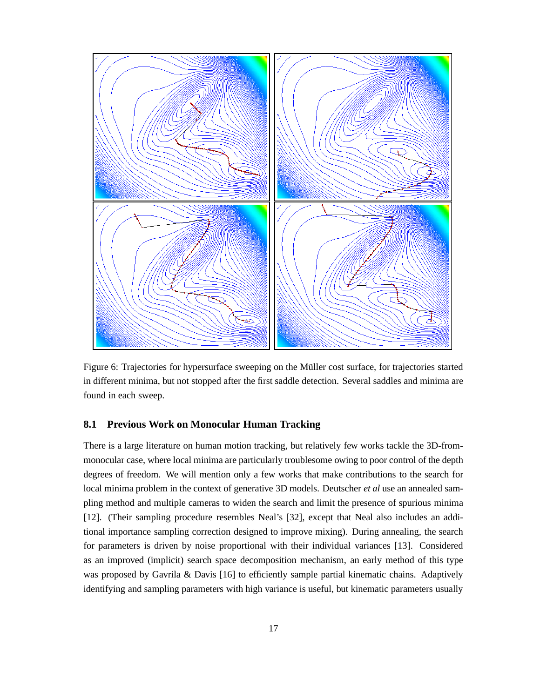

Figure 6: Trajectories for hypersurface sweeping on the Müller cost surface, for trajectories started in different minima, but not stopped after the first saddle detection. Several saddles and minima are found in each sweep.

### **8.1 Previous Work on Monocular Human Tracking**

There is a large literature on human motion tracking, but relatively few works tackle the 3D-frommonocular case, where local minima are particularly troublesome owing to poor control of the depth degrees of freedom. We will mention only a few works that make contributions to the search for local minima problem in the context of generative 3D models. Deutscher *et al* use an annealed sampling method and multiple cameras to widen the search and limit the presence of spurious minima [12]. (Their sampling procedure resembles Neal's [32], except that Neal also includes an additional importance sampling correction designed to improve mixing). During annealing, the search for parameters is driven by noise proportional with their individual variances [13]. Considered as an improved (implicit) search space decomposition mechanism, an early method of this type was proposed by Gavrila & Davis [16] to efficiently sample partial kinematic chains. Adaptively identifying and sampling parameters with high variance is useful, but kinematic parameters usually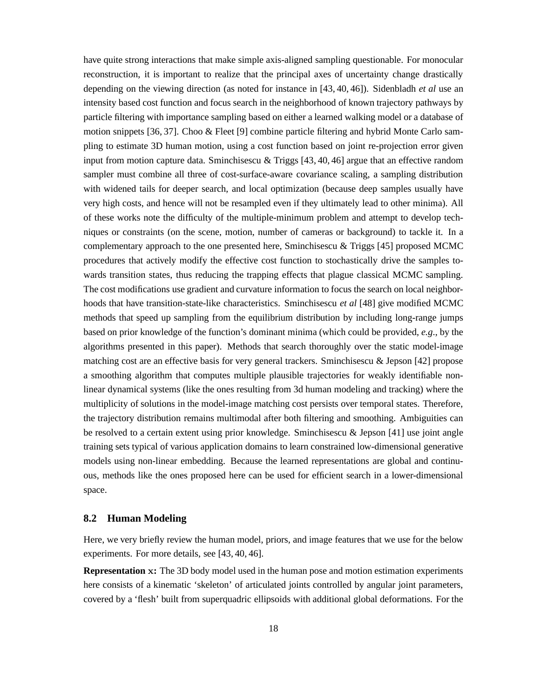have quite strong interactions that make simple axis-aligned sampling questionable. For monocular reconstruction, it is important to realize that the principal axes of uncertainty change drastically depending on the viewing direction (as noted for instance in [43, 40, 46]). Sidenbladh *et al* use an intensity based cost function and focus search in the neighborhood of known trajectory pathways by particle filtering with importance sampling based on either a learned walking model or a database of motion snippets [36, 37]. Choo & Fleet [9] combine particle filtering and hybrid Monte Carlo sampling to estimate 3D human motion, using a cost function based on joint re-projection error given input from motion capture data. Sminchisescu & Triggs [43, 40, 46] argue that an effective random sampler must combine all three of cost-surface-aware covariance scaling, a sampling distribution with widened tails for deeper search, and local optimization (because deep samples usually have very high costs, and hence will not be resampled even if they ultimately lead to other minima). All of these works note the difficulty of the multiple-minimum problem and attempt to develop techniques or constraints (on the scene, motion, number of cameras or background) to tackle it. In a complementary approach to the one presented here, Sminchisescu & Triggs [45] proposed MCMC procedures that actively modify the effective cost function to stochastically drive the samples towards transition states, thus reducing the trapping effects that plague classical MCMC sampling. The cost modifications use gradient and curvature information to focus the search on local neighborhoods that have transition-state-like characteristics. Sminchisescu *et al* [48] give modified MCMC methods that speed up sampling from the equilibrium distribution by including long-range jumps based on prior knowledge of the function's dominant minima (which could be provided, *e.g*., by the algorithms presented in this paper). Methods that search thoroughly over the static model-image matching cost are an effective basis for very general trackers. Sminchisescu & Jepson [42] propose a smoothing algorithm that computes multiple plausible trajectories for weakly identifiable nonlinear dynamical systems (like the ones resulting from 3d human modeling and tracking) where the multiplicity of solutions in the model-image matching cost persists over temporal states. Therefore, the trajectory distribution remains multimodal after both filtering and smoothing. Ambiguities can be resolved to a certain extent using prior knowledge. Sminchisescu & Jepson [41] use joint angle training sets typical of various application domains to learn constrained low-dimensional generative models using non-linear embedding. Because the learned representations are global and continuous, methods like the ones proposed here can be used for efficient search in a lower-dimensional space.

#### **8.2 Human Modeling**

Here, we very briefly review the human model, priors, and image features that we use for the below experiments. For more details, see [43, 40, 46].

**Representation x:** The 3D body model used in the human pose and motion estimation experiments here consists of a kinematic 'skeleton' of articulated joints controlled by angular joint parameters, covered by a 'flesh' built from superquadric ellipsoids with additional global deformations. For the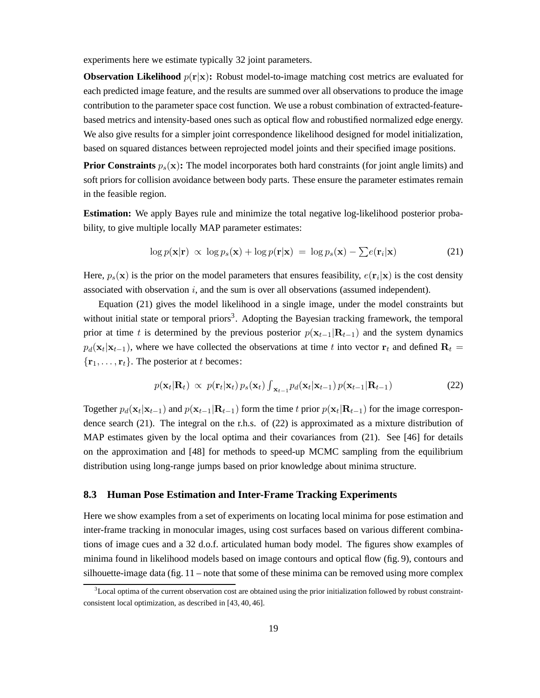experiments here we estimate typically 32 joint parameters.

**Observation Likelihood**  $p(\mathbf{r}|\mathbf{x})$ : Robust model-to-image matching cost metrics are evaluated for each predicted image feature, and the results are summed over all observations to produce the image contribution to the parameter space cost function. We use a robust combination of extracted-featurebased metrics and intensity-based ones such as optical flow and robustified normalized edge energy. We also give results for a simpler joint correspondence likelihood designed for model initialization, based on squared distances between reprojected model joints and their specified image positions.

**Prior Constraints**  $p_s(\mathbf{x})$ : The model incorporates both hard constraints (for joint angle limits) and soft priors for collision avoidance between body parts. These ensure the parameter estimates remain in the feasible region.

**Estimation:** We apply Bayes rule and minimize the total negative log-likelihood posterior probability, to give multiple locally MAP parameter estimates:

$$
\log p(\mathbf{x}|\mathbf{r}) \propto \log p_s(\mathbf{x}) + \log p(\mathbf{r}|\mathbf{x}) = \log p_s(\mathbf{x}) - \sum e(\mathbf{r}_i|\mathbf{x}) \tag{21}
$$

Here,  $p_s(\mathbf{x})$  is the prior on the model parameters that ensures feasibility,  $e(\mathbf{r}_i|\mathbf{x})$  is the cost density associated with observation  $i$ , and the sum is over all observations (assumed independent).

Equation (21) gives the model likelihood in a single image, under the model constraints but without initial state or temporal priors<sup>3</sup>. Adopting the Bayesian tracking framework, the temporal prior at time t is determined by the previous posterior  $p(\mathbf{x}_{t-1}|\mathbf{R}_{t-1})$  and the system dynamics  $p_d(\mathbf{x}_t|\mathbf{x}_{t-1})$ , where we have collected the observations at time t into vector  $\mathbf{r}_t$  and defined  $\mathbf{R}_t =$  ${\bf r}_1,\ldots,{\bf r}_t$ . The posterior at t becomes:

$$
p(\mathbf{x}_t|\mathbf{R}_t) \propto p(\mathbf{r}_t|\mathbf{x}_t) p_s(\mathbf{x}_t) \int_{\mathbf{x}_{t-1}} p_d(\mathbf{x}_t|\mathbf{x}_{t-1}) p(\mathbf{x}_{t-1}|\mathbf{R}_{t-1})
$$
(22)

Together  $p_d(\mathbf{x}_t|\mathbf{x}_{t-1})$  and  $p(\mathbf{x}_{t-1}|\mathbf{R}_{t-1})$  form the time t prior  $p(\mathbf{x}_t|\mathbf{R}_{t-1})$  for the image correspondence search (21). The integral on the r.h.s. of (22) is approximated as a mixture distribution of MAP estimates given by the local optima and their covariances from (21). See [46] for details on the approximation and [48] for methods to speed-up MCMC sampling from the equilibrium distribution using long-range jumps based on prior knowledge about minima structure.

#### **8.3 Human Pose Estimation and Inter-Frame Tracking Experiments**

Here we show examples from a set of experiments on locating local minima for pose estimation and inter-frame tracking in monocular images, using cost surfaces based on various different combinations of image cues and a 32 d.o.f. articulated human body model. The figures show examples of minima found in likelihood models based on image contours and optical flow (fig. 9), contours and silhouette-image data (fig.  $11$  – note that some of these minima can be removed using more complex

<sup>&</sup>lt;sup>3</sup>Local optima of the current observation cost are obtained using the prior initialization followed by robust constraintconsistent local optimization, as described in [43, 40, 46].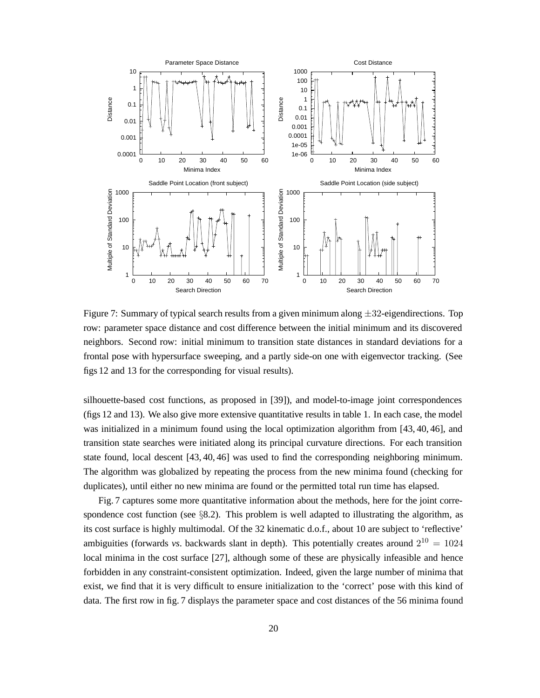

Figure 7: Summary of typical search results from a given minimum along  $\pm 32$ -eigendirections. Top row: parameter space distance and cost difference between the initial minimum and its discovered neighbors. Second row: initial minimum to transition state distances in standard deviations for a frontal pose with hypersurface sweeping, and a partly side-on one with eigenvector tracking. (See figs 12 and 13 for the corresponding for visual results).

silhouette-based cost functions, as proposed in [39]), and model-to-image joint correspondences (figs 12 and 13). We also give more extensive quantitative results in table 1. In each case, the model was initialized in a minimum found using the local optimization algorithm from [43, 40, 46], and transition state searches were initiated along its principal curvature directions. For each transition state found, local descent [43, 40, 46] was used to find the corresponding neighboring minimum. The algorithm was globalized by repeating the process from the new minima found (checking for duplicates), until either no new minima are found or the permitted total run time has elapsed.

Fig. 7 captures some more quantitative information about the methods, here for the joint correspondence cost function (see §8.2). This problem is well adapted to illustrating the algorithm, as its cost surface is highly multimodal. Of the 32 kinematic d.o.f., about 10 are subject to 'reflective' ambiguities (forwards *vs.* backwards slant in depth). This potentially creates around  $2^{10} = 1024$ local minima in the cost surface [27], although some of these are physically infeasible and hence forbidden in any constraint-consistent optimization. Indeed, given the large number of minima that exist, we find that it is very difficult to ensure initialization to the 'correct' pose with this kind of data. The first row in fig. 7 displays the parameter space and cost distances of the 56 minima found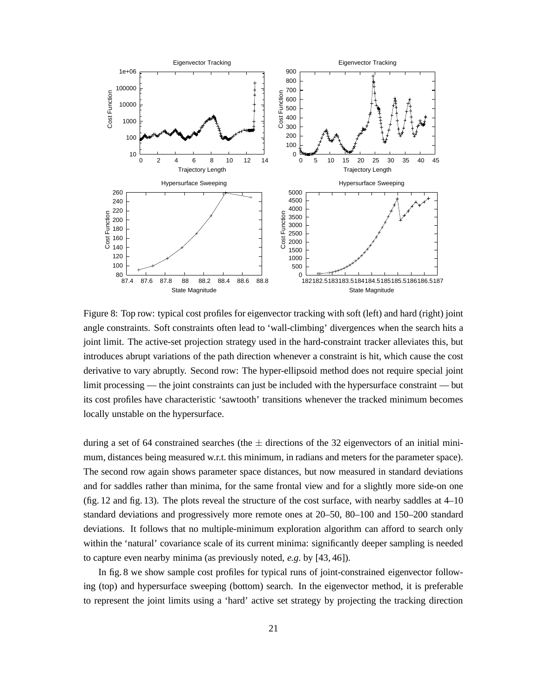

Figure 8: Top row: typical cost profiles for eigenvector tracking with soft (left) and hard (right) joint angle constraints. Soft constraints often lead to 'wall-climbing' divergences when the search hits a joint limit. The active-set projection strategy used in the hard-constraint tracker alleviates this, but introduces abrupt variations of the path direction whenever a constraint is hit, which cause the cost derivative to vary abruptly. Second row: The hyper-ellipsoid method does not require special joint limit processing — the joint constraints can just be included with the hypersurface constraint — but its cost profiles have characteristic 'sawtooth' transitions whenever the tracked minimum becomes locally unstable on the hypersurface.

during a set of 64 constrained searches (the  $\pm$  directions of the 32 eigenvectors of an initial minimum, distances being measured w.r.t. this minimum, in radians and meters for the parameter space). The second row again shows parameter space distances, but now measured in standard deviations and for saddles rather than minima, for the same frontal view and for a slightly more side-on one (fig. 12 and fig. 13). The plots reveal the structure of the cost surface, with nearby saddles at 4–10 standard deviations and progressively more remote ones at 20–50, 80–100 and 150–200 standard deviations. It follows that no multiple-minimum exploration algorithm can afford to search only within the 'natural' covariance scale of its current minima: significantly deeper sampling is needed to capture even nearby minima (as previously noted, *e.g*. by [43, 46]).

In fig. 8 we show sample cost profiles for typical runs of joint-constrained eigenvector following (top) and hypersurface sweeping (bottom) search. In the eigenvector method, it is preferable to represent the joint limits using a 'hard' active set strategy by projecting the tracking direction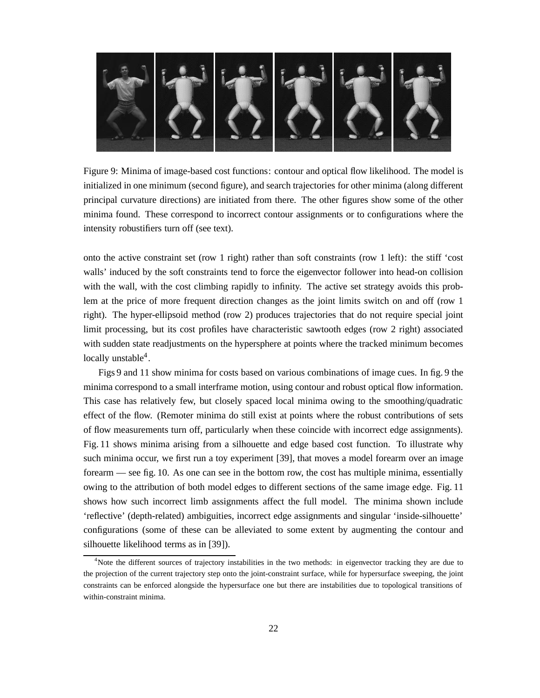

Figure 9: Minima of image-based cost functions: contour and optical flow likelihood. The model is initialized in one minimum (second figure), and search trajectories for other minima (along different principal curvature directions) are initiated from there. The other figures show some of the other minima found. These correspond to incorrect contour assignments or to configurations where the intensity robustifiers turn off (see text).

onto the active constraint set (row 1 right) rather than soft constraints (row 1 left): the stiff 'cost walls' induced by the soft constraints tend to force the eigenvector follower into head-on collision with the wall, with the cost climbing rapidly to infinity. The active set strategy avoids this problem at the price of more frequent direction changes as the joint limits switch on and off (row 1 right). The hyper-ellipsoid method (row 2) produces trajectories that do not require special joint limit processing, but its cost profiles have characteristic sawtooth edges (row 2 right) associated with sudden state readjustments on the hypersphere at points where the tracked minimum becomes locally unstable $4$ .

Figs 9 and 11 show minima for costs based on various combinations of image cues. In fig. 9 the minima correspond to a small interframe motion, using contour and robust optical flow information. This case has relatively few, but closely spaced local minima owing to the smoothing/quadratic effect of the flow. (Remoter minima do still exist at points where the robust contributions of sets of flow measurements turn off, particularly when these coincide with incorrect edge assignments). Fig. 11 shows minima arising from a silhouette and edge based cost function. To illustrate why such minima occur, we first run a toy experiment [39], that moves a model forearm over an image forearm — see fig. 10. As one can see in the bottom row, the cost has multiple minima, essentially owing to the attribution of both model edges to different sections of the same image edge. Fig. 11 shows how such incorrect limb assignments affect the full model. The minima shown include 'reflective' (depth-related) ambiguities, incorrect edge assignments and singular 'inside-silhouette' configurations (some of these can be alleviated to some extent by augmenting the contour and silhouette likelihood terms as in [39]).

<sup>&</sup>lt;sup>4</sup>Note the different sources of trajectory instabilities in the two methods: in eigenvector tracking they are due to the projection of the current trajectory step onto the joint-constraint surface, while for hypersurface sweeping, the joint constraints can be enforced alongside the hypersurface one but there are instabilities due to topological transitions of within-constraint minima.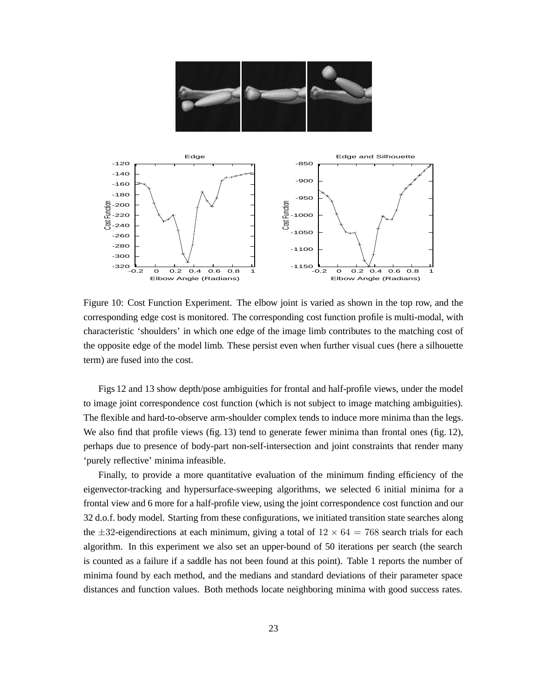



Figure 10: Cost Function Experiment. The elbow joint is varied as shown in the top row, and the corresponding edge cost is monitored. The corresponding cost function profile is multi-modal, with characteristic 'shoulders' in which one edge of the image limb contributes to the matching cost of the opposite edge of the model limb. These persist even when further visual cues (here a silhouette term) are fused into the cost.

Figs 12 and 13 show depth/pose ambiguities for frontal and half-profile views, under the model to image joint correspondence cost function (which is not subject to image matching ambiguities). The flexible and hard-to-observe arm-shoulder complex tends to induce more minima than the legs. We also find that profile views (fig. 13) tend to generate fewer minima than frontal ones (fig. 12), perhaps due to presence of body-part non-self-intersection and joint constraints that render many 'purely reflective' minima infeasible.

Finally, to provide a more quantitative evaluation of the minimum finding efficiency of the eigenvector-tracking and hypersurface-sweeping algorithms, we selected 6 initial minima for a frontal view and 6 more for a half-profile view, using the joint correspondence cost function and our 32 d.o.f. body model. Starting from these configurations, we initiated transition state searches along the  $\pm 32$ -eigendirections at each minimum, giving a total of  $12 \times 64 = 768$  search trials for each algorithm. In this experiment we also set an upper-bound of 50 iterations per search (the search is counted as a failure if a saddle has not been found at this point). Table 1 reports the number of minima found by each method, and the medians and standard deviations of their parameter space distances and function values. Both methods locate neighboring minima with good success rates.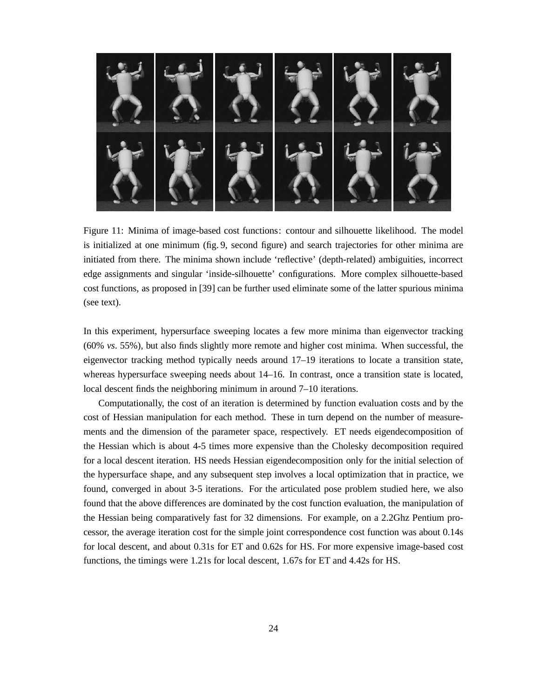

Figure 11: Minima of image-based cost functions: contour and silhouette likelihood. The model is initialized at one minimum (fig. 9, second figure) and search trajectories for other minima are initiated from there. The minima shown include 'reflective' (depth-related) ambiguities, incorrect edge assignments and singular 'inside-silhouette' configurations. More complex silhouette-based cost functions, as proposed in [39] can be further used eliminate some of the latter spurious minima (see text).

In this experiment, hypersurface sweeping locates a few more minima than eigenvector tracking (60% *vs*. 55%), but also finds slightly more remote and higher cost minima. When successful, the eigenvector tracking method typically needs around 17–19 iterations to locate a transition state, whereas hypersurface sweeping needs about 14–16. In contrast, once a transition state is located, local descent finds the neighboring minimum in around 7–10 iterations.

Computationally, the cost of an iteration is determined by function evaluation costs and by the cost of Hessian manipulation for each method. These in turn depend on the number of measurements and the dimension of the parameter space, respectively. ET needs eigendecomposition of the Hessian which is about 4-5 times more expensive than the Cholesky decomposition required for a local descent iteration. HS needs Hessian eigendecomposition only for the initial selection of the hypersurface shape, and any subsequent step involves a local optimization that in practice, we found, converged in about 3-5 iterations. For the articulated pose problem studied here, we also found that the above differences are dominated by the cost function evaluation, the manipulation of the Hessian being comparatively fast for 32 dimensions. For example, on a 2.2Ghz Pentium processor, the average iteration cost for the simple joint correspondence cost function was about 0.14s for local descent, and about 0.31s for ET and 0.62s for HS. For more expensive image-based cost functions, the timings were 1.21s for local descent, 1.67s for ET and 4.42s for HS.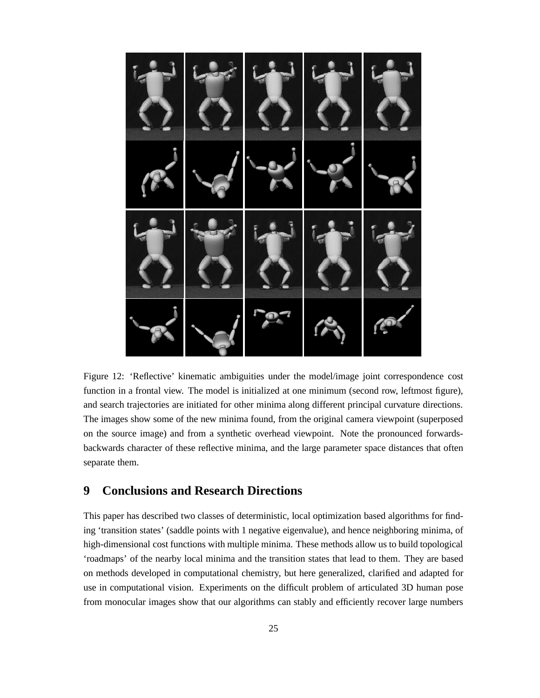

Figure 12: 'Reflective' kinematic ambiguities under the model/image joint correspondence cost function in a frontal view. The model is initialized at one minimum (second row, leftmost figure), and search trajectories are initiated for other minima along different principal curvature directions. The images show some of the new minima found, from the original camera viewpoint (superposed on the source image) and from a synthetic overhead viewpoint. Note the pronounced forwardsbackwards character of these reflective minima, and the large parameter space distances that often separate them.

# **9 Conclusions and Research Directions**

This paper has described two classes of deterministic, local optimization based algorithms for finding 'transition states' (saddle points with 1 negative eigenvalue), and hence neighboring minima, of high-dimensional cost functions with multiple minima. These methods allow us to build topological 'roadmaps' of the nearby local minima and the transition states that lead to them. They are based on methods developed in computational chemistry, but here generalized, clarified and adapted for use in computational vision. Experiments on the difficult problem of articulated 3D human pose from monocular images show that our algorithms can stably and efficiently recover large numbers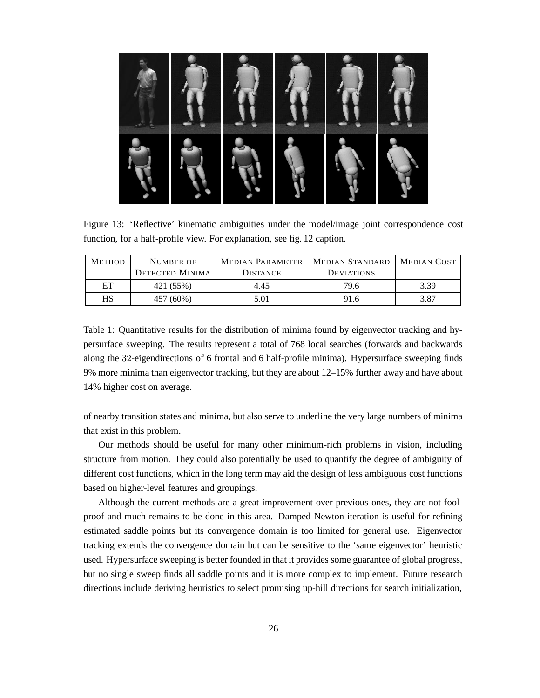

Figure 13: 'Reflective' kinematic ambiguities under the model/image joint correspondence cost function, for a half-profile view. For explanation, see fig. 12 caption.

| <b>METHOD</b> | NUMBER OF              | <b>MEDIAN PARAMETER</b> | <b>MEDIAN STANDARD</b> | <b>MEDIAN COST</b> |
|---------------|------------------------|-------------------------|------------------------|--------------------|
|               | <b>DETECTED MINIMA</b> | <b>DISTANCE</b>         | <b>DEVIATIONS</b>      |                    |
| ET            | 421 (55%)              | 4.45                    | 79.6                   | 3.39               |
| HS            | 457 (60%)              | 5.01                    | 91.6                   | 3.87               |

Table 1: Quantitative results for the distribution of minima found by eigenvector tracking and hypersurface sweeping. The results represent a total of 768 local searches (forwards and backwards along the 32-eigendirections of 6 frontal and 6 half-profile minima). Hypersurface sweeping finds 9% more minima than eigenvector tracking, but they are about 12–15% further away and have about 14% higher cost on average.

of nearby transition states and minima, but also serve to underline the very large numbers of minima that exist in this problem.

Our methods should be useful for many other minimum-rich problems in vision, including structure from motion. They could also potentially be used to quantify the degree of ambiguity of different cost functions, which in the long term may aid the design of less ambiguous cost functions based on higher-level features and groupings.

Although the current methods are a great improvement over previous ones, they are not foolproof and much remains to be done in this area. Damped Newton iteration is useful for refining estimated saddle points but its convergence domain is too limited for general use. Eigenvector tracking extends the convergence domain but can be sensitive to the 'same eigenvector' heuristic used. Hypersurface sweeping is better founded in that it provides some guarantee of global progress, but no single sweep finds all saddle points and it is more complex to implement. Future research directions include deriving heuristics to select promising up-hill directions for search initialization,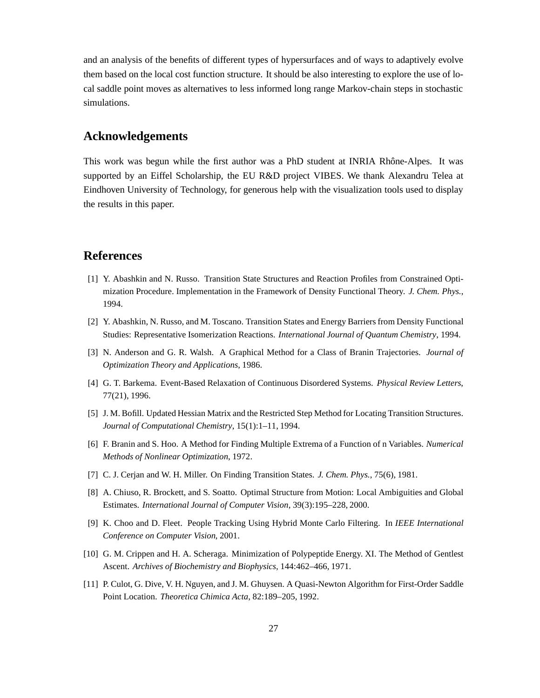and an analysis of the benefits of different types of hypersurfaces and of ways to adaptively evolve them based on the local cost function structure. It should be also interesting to explore the use of local saddle point moves as alternatives to less informed long range Markov-chain steps in stochastic simulations.

# **Acknowledgements**

This work was begun while the first author was a PhD student at INRIA Rhône-Alpes. It was supported by an Eiffel Scholarship, the EU R&D project VIBES. We thank Alexandru Telea at Eindhoven University of Technology, for generous help with the visualization tools used to display the results in this paper.

## **References**

- [1] Y. Abashkin and N. Russo. Transition State Structures and Reaction Profiles from Constrained Optimization Procedure. Implementation in the Framework of Density Functional Theory. *J. Chem. Phys.*, 1994.
- [2] Y. Abashkin, N. Russo, and M. Toscano. Transition States and Energy Barriers from Density Functional Studies: Representative Isomerization Reactions. *International Journal of Quantum Chemistry*, 1994.
- [3] N. Anderson and G. R. Walsh. A Graphical Method for a Class of Branin Trajectories. *Journal of Optimization Theory and Applications*, 1986.
- [4] G. T. Barkema. Event-Based Relaxation of Continuous Disordered Systems. *Physical Review Letters*, 77(21), 1996.
- [5] J. M. Bofill. Updated Hessian Matrix and the Restricted Step Method for Locating Transition Structures. *Journal of Computational Chemistry*, 15(1):1–11, 1994.
- [6] F. Branin and S. Hoo. A Method for Finding Multiple Extrema of a Function of n Variables. *Numerical Methods of Nonlinear Optimization*, 1972.
- [7] C. J. Cerjan and W. H. Miller. On Finding Transition States. *J. Chem. Phys.*, 75(6), 1981.
- [8] A. Chiuso, R. Brockett, and S. Soatto. Optimal Structure from Motion: Local Ambiguities and Global Estimates. *International Journal of Computer Vision*, 39(3):195–228, 2000.
- [9] K. Choo and D. Fleet. People Tracking Using Hybrid Monte Carlo Filtering. In *IEEE International Conference on Computer Vision*, 2001.
- [10] G. M. Crippen and H. A. Scheraga. Minimization of Polypeptide Energy. XI. The Method of Gentlest Ascent. *Archives of Biochemistry and Biophysics*, 144:462–466, 1971.
- [11] P. Culot, G. Dive, V. H. Nguyen, and J. M. Ghuysen. A Quasi-Newton Algorithm for First-Order Saddle Point Location. *Theoretica Chimica Acta*, 82:189–205, 1992.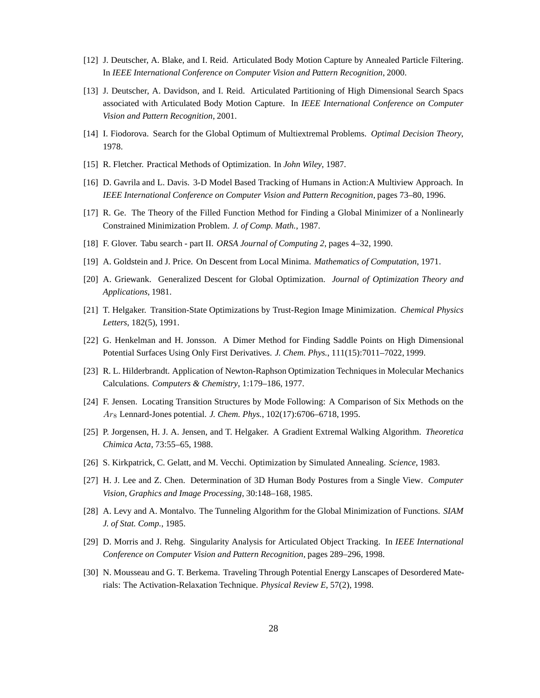- [12] J. Deutscher, A. Blake, and I. Reid. Articulated Body Motion Capture by Annealed Particle Filtering. In *IEEE International Conference on Computer Vision and Pattern Recognition*, 2000.
- [13] J. Deutscher, A. Davidson, and I. Reid. Articulated Partitioning of High Dimensional Search Spacs associated with Articulated Body Motion Capture. In *IEEE International Conference on Computer Vision and Pattern Recognition*, 2001.
- [14] I. Fiodorova. Search for the Global Optimum of Multiextremal Problems. *Optimal Decision Theory*, 1978.
- [15] R. Fletcher. Practical Methods of Optimization. In *John Wiley*, 1987.
- [16] D. Gavrila and L. Davis. 3-D Model Based Tracking of Humans in Action: A Multiview Approach. In *IEEE International Conference on Computer Vision and Pattern Recognition*, pages 73–80, 1996.
- [17] R. Ge. The Theory of the Filled Function Method for Finding a Global Minimizer of a Nonlinearly Constrained Minimization Problem. *J. of Comp. Math.*, 1987.
- [18] F. Glover. Tabu search part II. *ORSA Journal of Computing 2*, pages 4–32, 1990.
- [19] A. Goldstein and J. Price. On Descent from Local Minima. *Mathematics of Computation*, 1971.
- [20] A. Griewank. Generalized Descent for Global Optimization. *Journal of Optimization Theory and Applications*, 1981.
- [21] T. Helgaker. Transition-State Optimizations by Trust-Region Image Minimization. *Chemical Physics Letters*, 182(5), 1991.
- [22] G. Henkelman and H. Jonsson. A Dimer Method for Finding Saddle Points on High Dimensional Potential Surfaces Using Only First Derivatives. *J. Chem. Phys.*, 111(15):7011–7022, 1999.
- [23] R. L. Hilderbrandt. Application of Newton-Raphson Optimization Techniques in Molecular Mechanics Calculations. *Computers & Chemistry*, 1:179–186, 1977.
- [24] F. Jensen. Locating Transition Structures by Mode Following: A Comparison of Six Methods on the Ar<sup>8</sup> Lennard-Jones potential. *J. Chem. Phys.*, 102(17):6706–6718, 1995.
- [25] P. Jorgensen, H. J. A. Jensen, and T. Helgaker. A Gradient Extremal Walking Algorithm. *Theoretica Chimica Acta*, 73:55–65, 1988.
- [26] S. Kirkpatrick, C. Gelatt, and M. Vecchi. Optimization by Simulated Annealing. *Science*, 1983.
- [27] H. J. Lee and Z. Chen. Determination of 3D Human Body Postures from a Single View. *Computer Vision, Graphics and Image Processing*, 30:148–168, 1985.
- [28] A. Levy and A. Montalvo. The Tunneling Algorithm for the Global Minimization of Functions. *SIAM J. of Stat. Comp.*, 1985.
- [29] D. Morris and J. Rehg. Singularity Analysis for Articulated Object Tracking. In *IEEE International Conference on Computer Vision and Pattern Recognition*, pages 289–296, 1998.
- [30] N. Mousseau and G. T. Berkema. Traveling Through Potential Energy Lanscapes of Desordered Materials: The Activation-Relaxation Technique. *Physical Review E*, 57(2), 1998.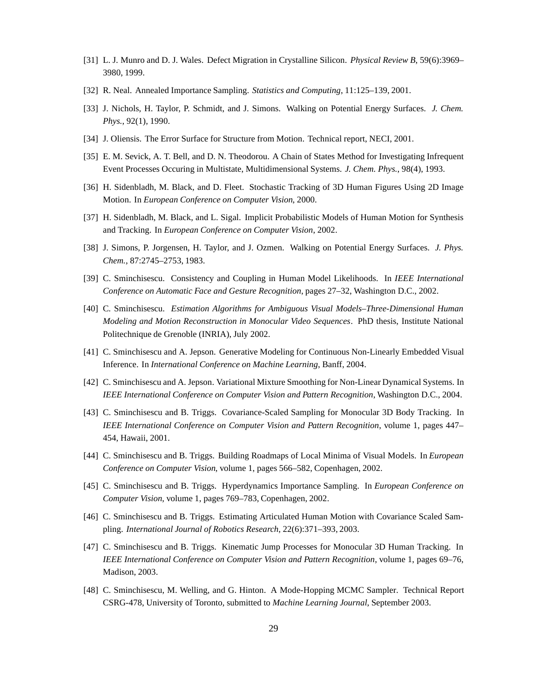- [31] L. J. Munro and D. J. Wales. Defect Migration in Crystalline Silicon. *Physical Review B*, 59(6):3969– 3980, 1999.
- [32] R. Neal. Annealed Importance Sampling. *Statistics and Computing*, 11:125–139, 2001.
- [33] J. Nichols, H. Taylor, P. Schmidt, and J. Simons. Walking on Potential Energy Surfaces. *J. Chem. Phys.*, 92(1), 1990.
- [34] J. Oliensis. The Error Surface for Structure from Motion. Technical report, NECI, 2001.
- [35] E. M. Sevick, A. T. Bell, and D. N. Theodorou. A Chain of States Method for Investigating Infrequent Event Processes Occuring in Multistate, Multidimensional Systems. *J. Chem. Phys.*, 98(4), 1993.
- [36] H. Sidenbladh, M. Black, and D. Fleet. Stochastic Tracking of 3D Human Figures Using 2D Image Motion. In *European Conference on Computer Vision*, 2000.
- [37] H. Sidenbladh, M. Black, and L. Sigal. Implicit Probabilistic Models of Human Motion for Synthesis and Tracking. In *European Conference on Computer Vision*, 2002.
- [38] J. Simons, P. Jorgensen, H. Taylor, and J. Ozmen. Walking on Potential Energy Surfaces. *J. Phys. Chem.*, 87:2745–2753, 1983.
- [39] C. Sminchisescu. Consistency and Coupling in Human Model Likelihoods. In *IEEE International Conference on Automatic Face and Gesture Recognition*, pages 27–32, Washington D.C., 2002.
- [40] C. Sminchisescu. *Estimation Algorithms for Ambiguous Visual Models–Three-Dimensional Human Modeling and Motion Reconstruction in Monocular Video Sequences*. PhD thesis, Institute National Politechnique de Grenoble (INRIA), July 2002.
- [41] C. Sminchisescu and A. Jepson. Generative Modeling for Continuous Non-Linearly Embedded Visual Inference. In *International Conference on Machine Learning*, Banff, 2004.
- [42] C. Sminchisescu and A. Jepson. Variational Mixture Smoothing for Non-Linear Dynamical Systems. In *IEEE International Conference on Computer Vision and Pattern Recognition*, Washington D.C., 2004.
- [43] C. Sminchisescu and B. Triggs. Covariance-Scaled Sampling for Monocular 3D Body Tracking. In *IEEE International Conference on Computer Vision and Pattern Recognition*, volume 1, pages 447– 454, Hawaii, 2001.
- [44] C. Sminchisescu and B. Triggs. Building Roadmaps of Local Minima of Visual Models. In *European Conference on Computer Vision*, volume 1, pages 566–582, Copenhagen, 2002.
- [45] C. Sminchisescu and B. Triggs. Hyperdynamics Importance Sampling. In *European Conference on Computer Vision*, volume 1, pages 769–783, Copenhagen, 2002.
- [46] C. Sminchisescu and B. Triggs. Estimating Articulated Human Motion with Covariance Scaled Sampling. *International Journal of Robotics Research*, 22(6):371–393, 2003.
- [47] C. Sminchisescu and B. Triggs. Kinematic Jump Processes for Monocular 3D Human Tracking. In *IEEE International Conference on Computer Vision and Pattern Recognition*, volume 1, pages 69–76, Madison, 2003.
- [48] C. Sminchisescu, M. Welling, and G. Hinton. A Mode-Hopping MCMC Sampler. Technical Report CSRG-478, University of Toronto, submitted to *Machine Learning Journal*, September 2003.